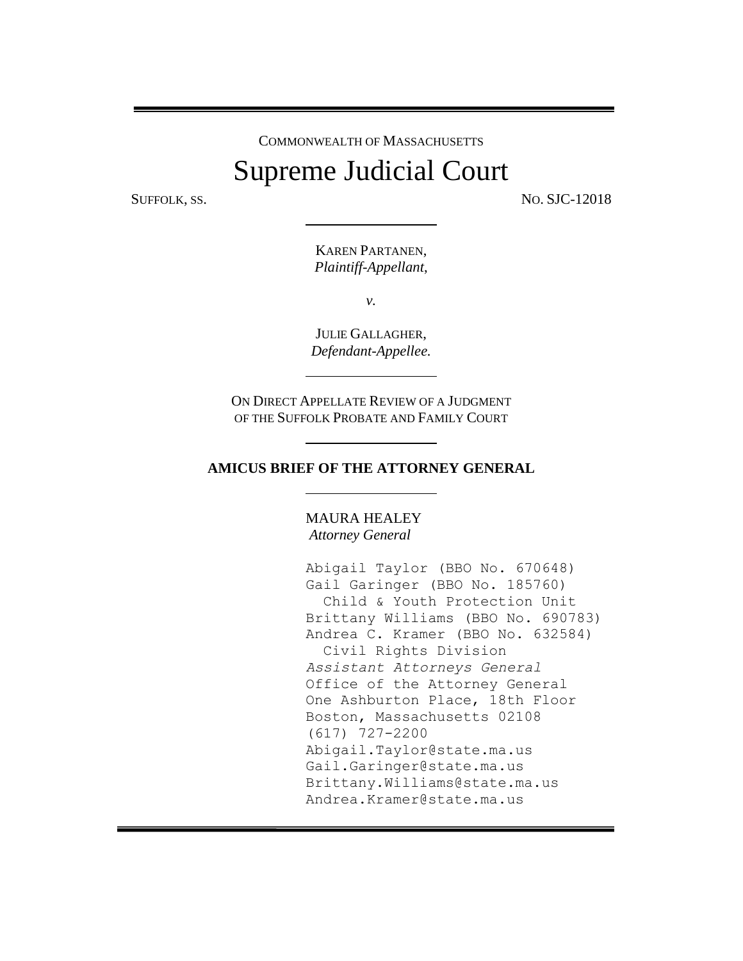COMMONWEALTH OF MASSACHUSETTS

# Supreme Judicial Court

SUFFOLK, SS. NO. SJC-12018

KAREN PARTANEN, *Plaintiff-Appellant*,

*v.*

JULIE GALLAGHER, *Defendant-Appellee.*

ON DIRECT APPELLATE REVIEW OF A JUDGMENT OF THE SUFFOLK PROBATE AND FAMILY COURT

# **AMICUS BRIEF OF THE ATTORNEY GENERAL**

MAURA HEALEY *Attorney General*

Abigail Taylor (BBO No. 670648) Gail Garinger (BBO No. 185760) Child & Youth Protection Unit Brittany Williams (BBO No. 690783) Andrea C. Kramer (BBO No. 632584) Civil Rights Division *Assistant Attorneys General* Office of the Attorney General One Ashburton Place, 18th Floor Boston, Massachusetts 02108 (617) 727-2200 Abigail.Taylor@state.ma.us Gail.Garinger@state.ma.us Brittany.Williams@state.ma.us Andrea.Kramer@state.ma.us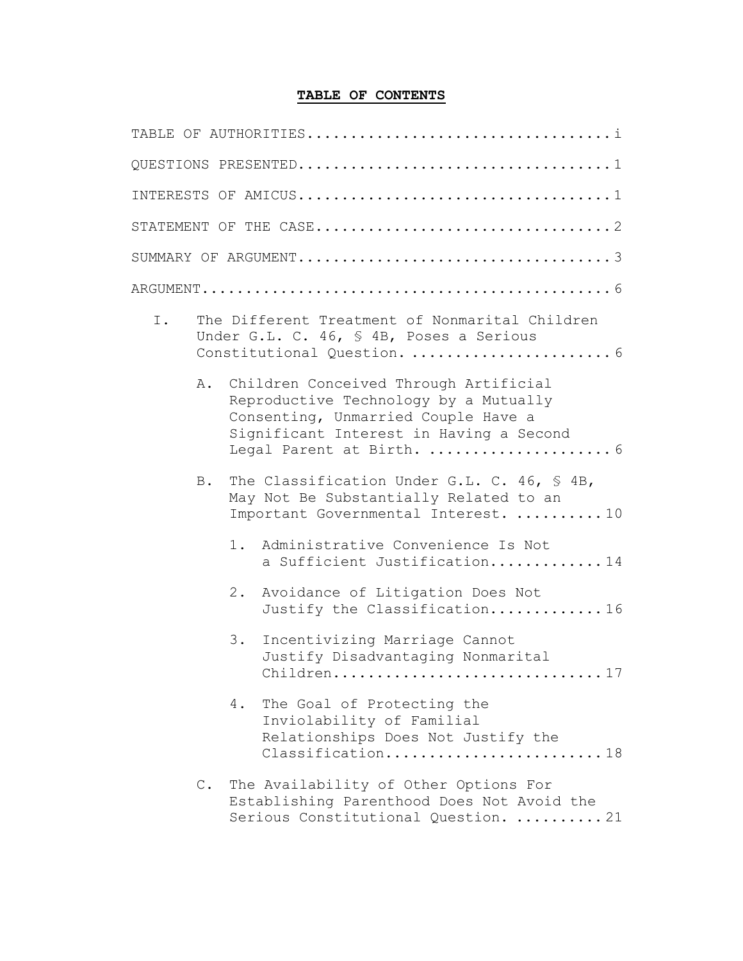# **TABLE OF CONTENTS**

| Ι. |                |    | The Different Treatment of Nonmarital Children<br>Under G.L. C. 46, § 4B, Poses a Serious<br>Constitutional Question.  6                                                                      |
|----|----------------|----|-----------------------------------------------------------------------------------------------------------------------------------------------------------------------------------------------|
|    | Α.             |    | Children Conceived Through Artificial<br>Reproductive Technology by a Mutually<br>Consenting, Unmarried Couple Have a<br>Significant Interest in Having a Second<br>Legal Parent at Birth.  6 |
|    | B.             |    | The Classification Under G.L. C. 46, § 4B,<br>May Not Be Substantially Related to an<br>Important Governmental Interest.  10                                                                  |
|    |                | 1. | Administrative Convenience Is Not<br>a Sufficient Justification14                                                                                                                             |
|    |                | 2. | Avoidance of Litigation Does Not<br>Justify the Classification16                                                                                                                              |
|    |                | 3. | Incentivizing Marriage Cannot<br>Justify Disadvantaging Nonmarital<br>Children17                                                                                                              |
|    |                | 4. | The Goal of Protecting the<br>Inviolability of Familial<br>Relationships Does Not Justify the<br>Classification18                                                                             |
|    | $\mathsf{C}$ . |    | The Availability of Other Options For<br>Establishing Parenthood Does Not Avoid the<br>Serious Constitutional Question. 21                                                                    |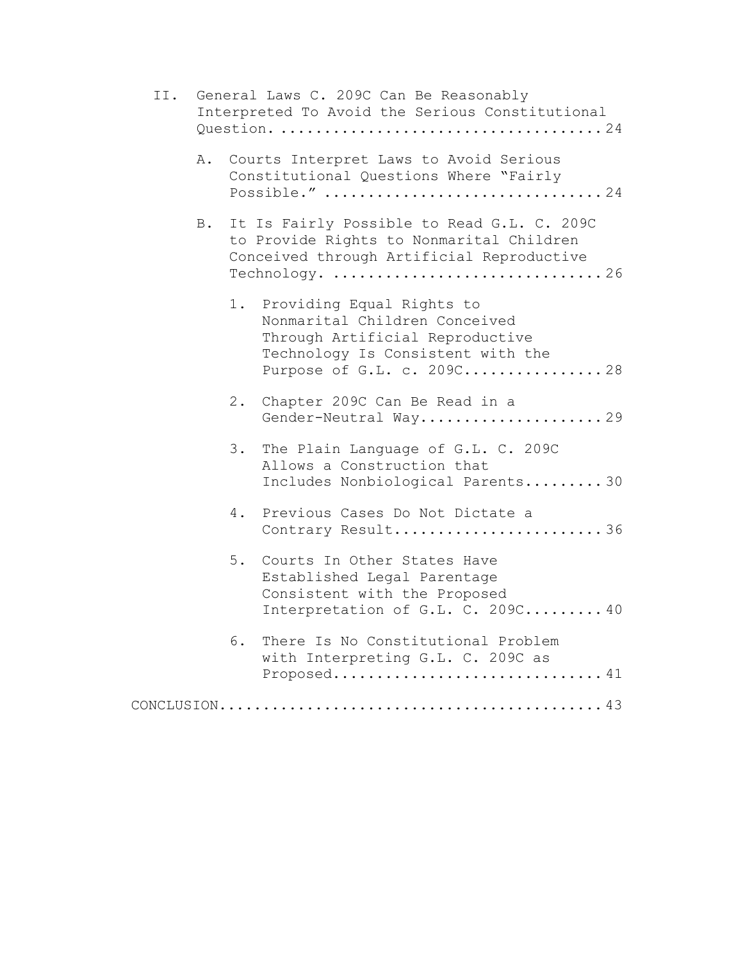| II. | General Laws C. 209C Can Be Reasonably<br>Interpreted To Avoid the Serious Constitutional |    |                                                                                                                                                                 |  |  |  |  |  |  |  |  |
|-----|-------------------------------------------------------------------------------------------|----|-----------------------------------------------------------------------------------------------------------------------------------------------------------------|--|--|--|--|--|--|--|--|
|     | Α.                                                                                        |    | Courts Interpret Laws to Avoid Serious<br>Constitutional Questions Where "Fairly                                                                                |  |  |  |  |  |  |  |  |
|     | <b>B</b> .                                                                                |    | It Is Fairly Possible to Read G.L. C. 209C<br>to Provide Rights to Nonmarital Children<br>Conceived through Artificial Reproductive                             |  |  |  |  |  |  |  |  |
|     |                                                                                           | 1. | Providing Equal Rights to<br>Nonmarital Children Conceived<br>Through Artificial Reproductive<br>Technology Is Consistent with the<br>Purpose of G.L. c. 209C28 |  |  |  |  |  |  |  |  |
|     |                                                                                           | 2. | Chapter 209C Can Be Read in a<br>Gender-Neutral Way29                                                                                                           |  |  |  |  |  |  |  |  |
|     |                                                                                           | 3. | The Plain Language of G.L. C. 209C<br>Allows a Construction that<br>Includes Nonbiological Parents30                                                            |  |  |  |  |  |  |  |  |
|     |                                                                                           | 4. | Previous Cases Do Not Dictate a<br>Contrary Result36                                                                                                            |  |  |  |  |  |  |  |  |
|     |                                                                                           | 5. | Courts In Other States Have<br>Established Legal Parentage<br>Consistent with the Proposed<br>Interpretation of G.L. C. 209C 40                                 |  |  |  |  |  |  |  |  |
|     |                                                                                           | 6. | There Is No Constitutional Problem<br>with Interpreting G.L. C. 209C as<br>Proposed41                                                                           |  |  |  |  |  |  |  |  |
|     |                                                                                           |    |                                                                                                                                                                 |  |  |  |  |  |  |  |  |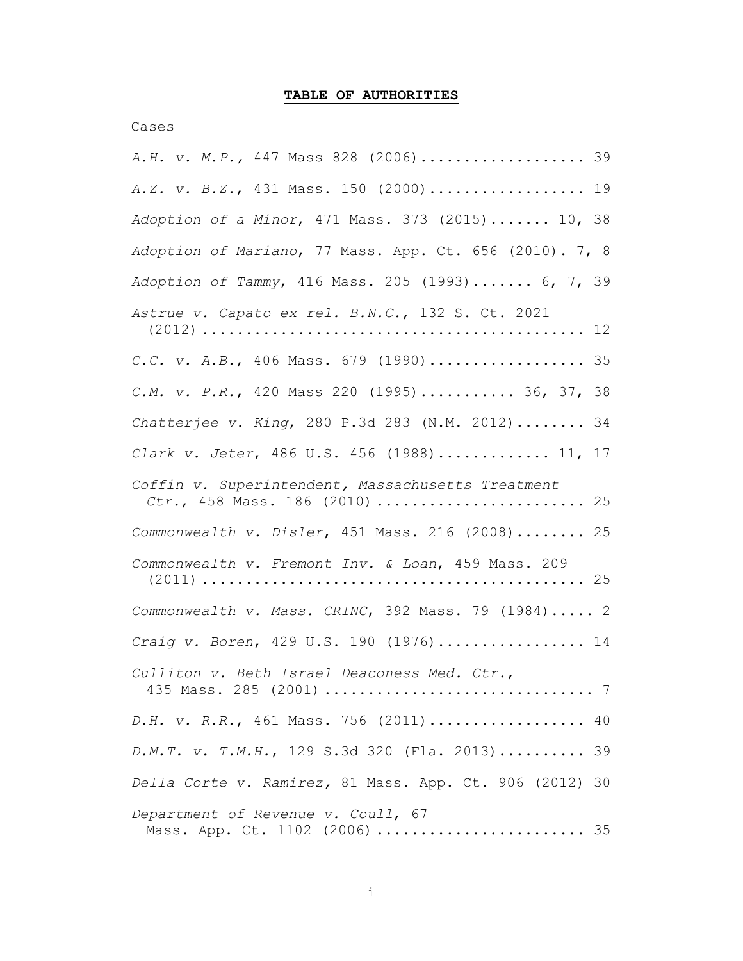# **TABLE OF AUTHORITIES**

#### <span id="page-3-0"></span>Cases

| A.H. v. M.P., 447 Mass 828 (2006) 39                                 |
|----------------------------------------------------------------------|
| A.Z. v. B.Z., 431 Mass. 150 (2000) 19                                |
| Adoption of a Minor, 471 Mass. 373 (2015) 10, 38                     |
| Adoption of Mariano, 77 Mass. App. Ct. 656 (2010). 7, 8              |
| Adoption of Tammy, 416 Mass. 205 (1993) 6, 7, 39                     |
| Astrue v. Capato ex rel. B.N.C., 132 S. Ct. 2021                     |
| C.C. v. A.B., 406 Mass. 679 (1990) 35                                |
| C.M. v. P.R., 420 Mass 220 (1995) 36, 37, 38                         |
| Chatterjee v. King, 280 P.3d 283 (N.M. 2012) 34                      |
| Clark v. Jeter, 486 U.S. 456 (1988) 11, 17                           |
| Coffin v. Superintendent, Massachusetts Treatment                    |
| Commonwealth v. Disler, 451 Mass. 216 $(2008)$ 25                    |
| Commonwealth v. Fremont Inv. & Loan, 459 Mass. 209                   |
| Commonwealth v. Mass. CRINC, 392 Mass. 79 (1984) 2                   |
| Craig v. Boren, 429 U.S. 190 (1976) 14                               |
| Culliton v. Beth Israel Deaconess Med. Ctr.,                         |
| D.H. v. R.R., 461 Mass. 756 (2011) 40                                |
| D.M.T. v. T.M.H., 129 S.3d 320 (Fla. 2013) 39                        |
| Della Corte v. Ramirez, 81 Mass. App. Ct. 906 (2012) 30              |
| Department of Revenue v. Coull, 67<br>Mass. App. Ct. 1102 (2006)  35 |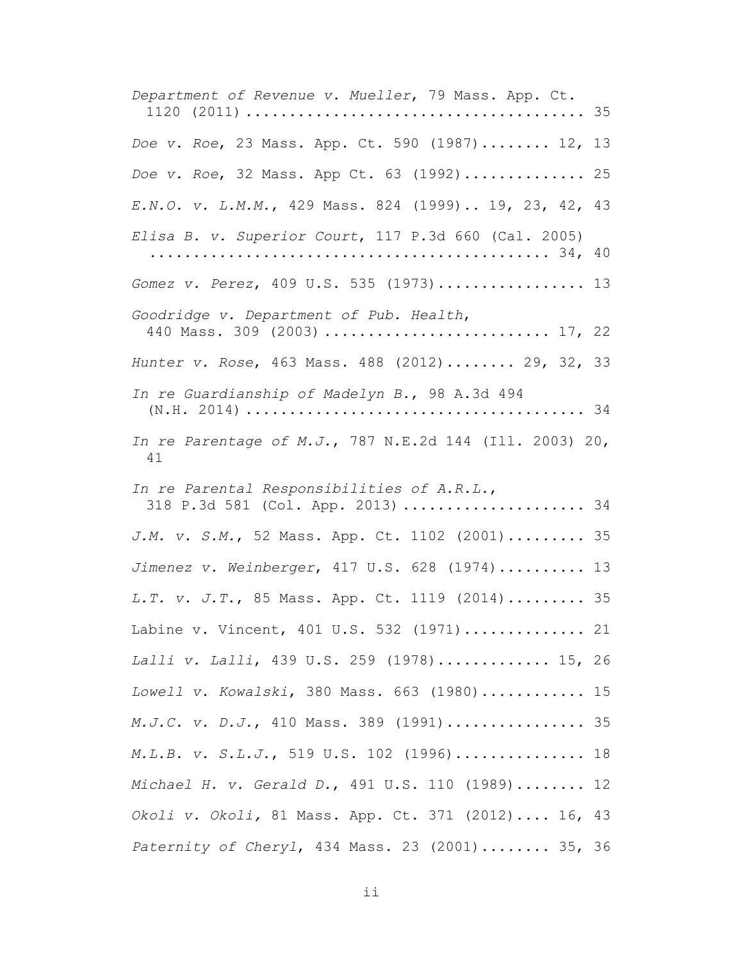*Department of Revenue v. Mueller*, 79 Mass. App. Ct. 1120 (2011) ....................................... 35 *Doe v. Roe*, 23 Mass. App. Ct. 590 (1987)........ 12, 13 *Doe v. Roe*, 32 Mass. App Ct. 63 (1992).............. 25 *E.N.O. v. L.M.M.*, 429 Mass. 824 (1999).. 19, 23, 42, 43 *Elisa B. v. Superior Court*, 117 P.3d 660 (Cal. 2005) .............................................. 34, 40 *Gomez v. Perez*, 409 U.S. 535 (1973)................. 13 *Goodridge v. Department of Pub. Health*, 440 Mass. 309 (2003) .......................... 17, 22 *Hunter v. Rose*, 463 Mass. 488 (2012)........ 29, 32, 33 *In re Guardianship of Madelyn B.*, 98 A.3d 494 (N.H. 2014) ....................................... 34 *In re Parentage of M.J.*, 787 N.E.2d 144 (Ill. 2003) 20, 41 *In re Parental Responsibilities of A.R.L.*, 318 P.3d 581 (Col. App. 2013) ..................... 34 *J.M. v. S.M.*, 52 Mass. App. Ct. 1102 (2001)......... 35 *Jimenez v. Weinberger*, 417 U.S. 628 (1974).......... 13 *L.T. v. J.T*., 85 Mass. App. Ct. 1119 (2014)......... 35 Labine v. Vincent, 401 U.S. 532 (1971).............. 21 *Lalli v. Lalli*, 439 U.S. 259 (1978)............. 15, 26 *Lowell v. Kowalski*, 380 Mass. 663 (1980)............ 15 *M.J.C. v. D.J.*, 410 Mass. 389 (1991)................ 35 *M.L.B. v. S.L.J.*, 519 U.S. 102 (1996)............... 18 *Michael H. v. Gerald D.*, 491 U.S. 110 (1989)........ 12 *Okoli v. Okoli,* 81 Mass. App. Ct. 371 (2012).... 16, 43 *Paternity of Cheryl*, 434 Mass. 23 (2001)........ 35, 36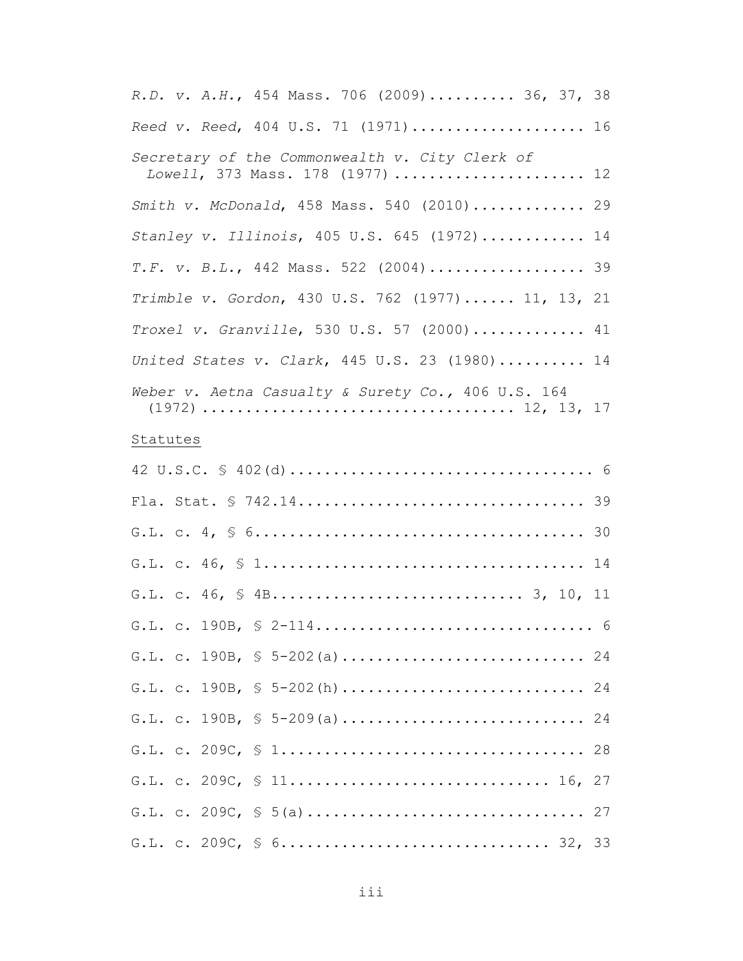|          | R.D. v. A.H., 454 Mass. 706 (2009) 36, 37, 38                                      |  |  |  |  |  |  |  |  |
|----------|------------------------------------------------------------------------------------|--|--|--|--|--|--|--|--|
|          | Reed v. Reed, 404 U.S. 71 (1971) 16                                                |  |  |  |  |  |  |  |  |
|          | Secretary of the Commonwealth v. City Clerk of<br>Lowell, 373 Mass. 178 (1977)  12 |  |  |  |  |  |  |  |  |
|          | Smith v. McDonald, 458 Mass. 540 (2010) 29                                         |  |  |  |  |  |  |  |  |
|          | Stanley v. Illinois, 405 U.S. 645 (1972) 14                                        |  |  |  |  |  |  |  |  |
|          | T.F. v. B.L., 442 Mass. 522 (2004) 39                                              |  |  |  |  |  |  |  |  |
|          | Trimble v. Gordon, 430 U.S. 762 (1977) 11, 13, 21                                  |  |  |  |  |  |  |  |  |
|          | Troxel v. Granville, 530 U.S. 57 (2000) 41                                         |  |  |  |  |  |  |  |  |
|          | United States v. Clark, 445 U.S. 23 (1980) 14                                      |  |  |  |  |  |  |  |  |
|          | Weber v. Aetna Casualty & Surety Co., 406 U.S. 164                                 |  |  |  |  |  |  |  |  |
| Statutes |                                                                                    |  |  |  |  |  |  |  |  |
|          |                                                                                    |  |  |  |  |  |  |  |  |
|          |                                                                                    |  |  |  |  |  |  |  |  |
|          |                                                                                    |  |  |  |  |  |  |  |  |
|          |                                                                                    |  |  |  |  |  |  |  |  |
|          |                                                                                    |  |  |  |  |  |  |  |  |
|          |                                                                                    |  |  |  |  |  |  |  |  |
|          |                                                                                    |  |  |  |  |  |  |  |  |
|          |                                                                                    |  |  |  |  |  |  |  |  |
|          |                                                                                    |  |  |  |  |  |  |  |  |
|          |                                                                                    |  |  |  |  |  |  |  |  |
|          | G.L. c. 209C, § 11 16, 27                                                          |  |  |  |  |  |  |  |  |
|          |                                                                                    |  |  |  |  |  |  |  |  |
|          |                                                                                    |  |  |  |  |  |  |  |  |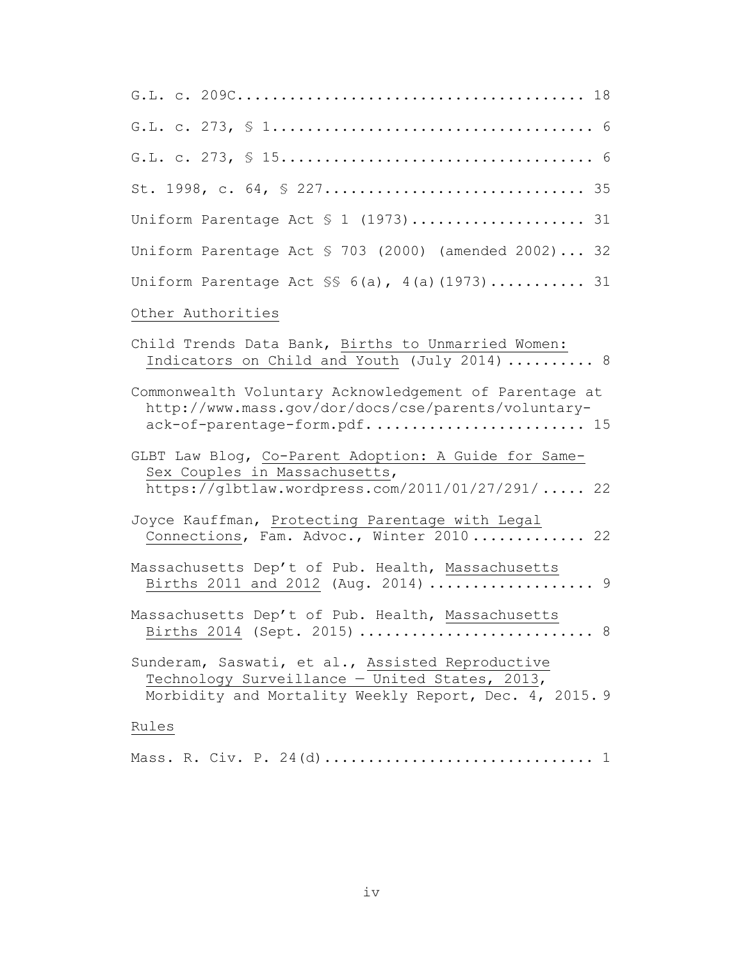| Uniform Parentage Act § 1 (1973) 31<br>Uniform Parentage Act § 703 (2000) (amended 2002) 32<br>Uniform Parentage Act $\S$ 6(a), 4(a) (1973) 31<br>Other Authorities<br>Child Trends Data Bank, Births to Unmarried Women:<br>Indicators on Child and Youth (July 2014)  8<br>Commonwealth Voluntary Acknowledgement of Parentage at<br>http://www.mass.gov/dor/docs/cse/parents/voluntary-<br>ack-of-parentage-form.pdf 15<br>GLBT Law Blog, Co-Parent Adoption: A Guide for Same-<br>Sex Couples in Massachusetts,<br>$https://glbtlaw.wordpress.com/2011/01/27/291/22$<br>Joyce Kauffman, Protecting Parentage with Legal<br>Connections, Fam. Advoc., Winter 2010 22<br>Massachusetts Dep't of Pub. Health, Massachusetts<br>Births 2011 and 2012 (Aug. 2014)  9<br>Massachusetts Dep't of Pub. Health, Massachusetts<br>Births 2014 (Sept. 2015)<br>8<br>Sunderam, Saswati, et al., Assisted Reproductive<br>Technology Surveillance - United States, 2013,<br>Morbidity and Mortality Weekly Report, Dec. 4, 2015. 9 |       |
|---------------------------------------------------------------------------------------------------------------------------------------------------------------------------------------------------------------------------------------------------------------------------------------------------------------------------------------------------------------------------------------------------------------------------------------------------------------------------------------------------------------------------------------------------------------------------------------------------------------------------------------------------------------------------------------------------------------------------------------------------------------------------------------------------------------------------------------------------------------------------------------------------------------------------------------------------------------------------------------------------------------------------|-------|
|                                                                                                                                                                                                                                                                                                                                                                                                                                                                                                                                                                                                                                                                                                                                                                                                                                                                                                                                                                                                                           |       |
|                                                                                                                                                                                                                                                                                                                                                                                                                                                                                                                                                                                                                                                                                                                                                                                                                                                                                                                                                                                                                           |       |
|                                                                                                                                                                                                                                                                                                                                                                                                                                                                                                                                                                                                                                                                                                                                                                                                                                                                                                                                                                                                                           |       |
|                                                                                                                                                                                                                                                                                                                                                                                                                                                                                                                                                                                                                                                                                                                                                                                                                                                                                                                                                                                                                           |       |
|                                                                                                                                                                                                                                                                                                                                                                                                                                                                                                                                                                                                                                                                                                                                                                                                                                                                                                                                                                                                                           |       |
|                                                                                                                                                                                                                                                                                                                                                                                                                                                                                                                                                                                                                                                                                                                                                                                                                                                                                                                                                                                                                           |       |
|                                                                                                                                                                                                                                                                                                                                                                                                                                                                                                                                                                                                                                                                                                                                                                                                                                                                                                                                                                                                                           |       |
|                                                                                                                                                                                                                                                                                                                                                                                                                                                                                                                                                                                                                                                                                                                                                                                                                                                                                                                                                                                                                           |       |
|                                                                                                                                                                                                                                                                                                                                                                                                                                                                                                                                                                                                                                                                                                                                                                                                                                                                                                                                                                                                                           |       |
|                                                                                                                                                                                                                                                                                                                                                                                                                                                                                                                                                                                                                                                                                                                                                                                                                                                                                                                                                                                                                           |       |
|                                                                                                                                                                                                                                                                                                                                                                                                                                                                                                                                                                                                                                                                                                                                                                                                                                                                                                                                                                                                                           |       |
|                                                                                                                                                                                                                                                                                                                                                                                                                                                                                                                                                                                                                                                                                                                                                                                                                                                                                                                                                                                                                           |       |
|                                                                                                                                                                                                                                                                                                                                                                                                                                                                                                                                                                                                                                                                                                                                                                                                                                                                                                                                                                                                                           |       |
|                                                                                                                                                                                                                                                                                                                                                                                                                                                                                                                                                                                                                                                                                                                                                                                                                                                                                                                                                                                                                           | Rules |

Mass. R. Civ. P. 24(d)............................... 1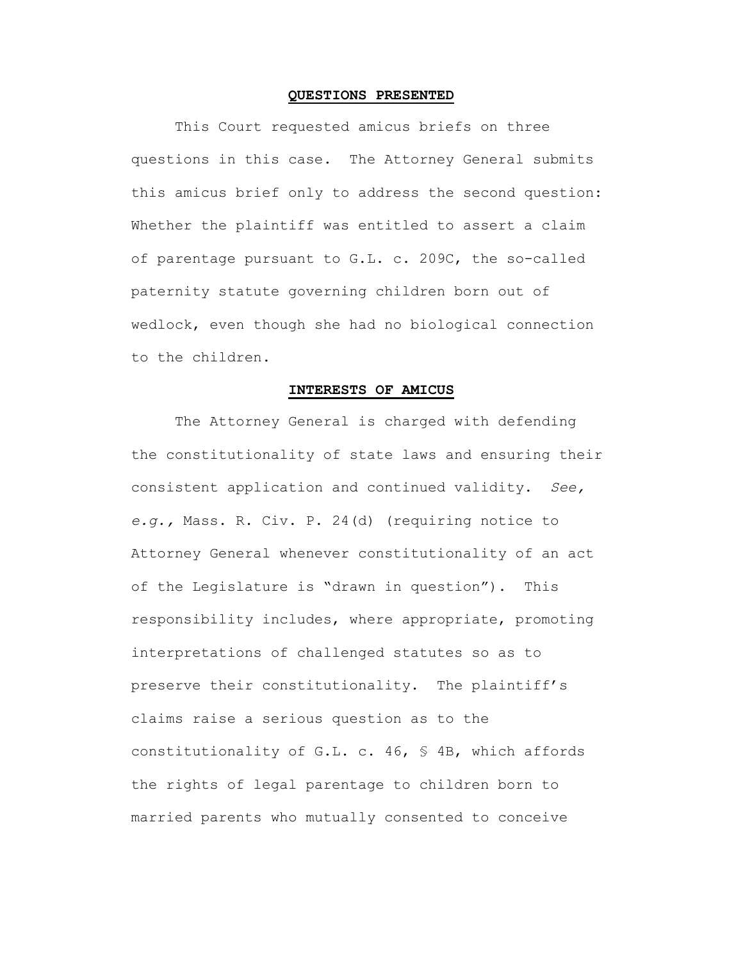#### **QUESTIONS PRESENTED**

<span id="page-7-0"></span>This Court requested amicus briefs on three questions in this case. The Attorney General submits this amicus brief only to address the second question: Whether the plaintiff was entitled to assert a claim of parentage pursuant to G.L. c. 209C, the so-called paternity statute governing children born out of wedlock, even though she had no biological connection to the children.

#### **INTERESTS OF AMICUS**

<span id="page-7-1"></span>The Attorney General is charged with defending the constitutionality of state laws and ensuring their consistent application and continued validity. *See, e.g.,* Mass. R. Civ. P. 24(d) (requiring notice to Attorney General whenever constitutionality of an act of the Legislature is "drawn in question"). This responsibility includes, where appropriate, promoting interpretations of challenged statutes so as to preserve their constitutionality. The plaintiff's claims raise a serious question as to the constitutionality of G.L. c. 46, § 4B, which affords the rights of legal parentage to children born to married parents who mutually consented to conceive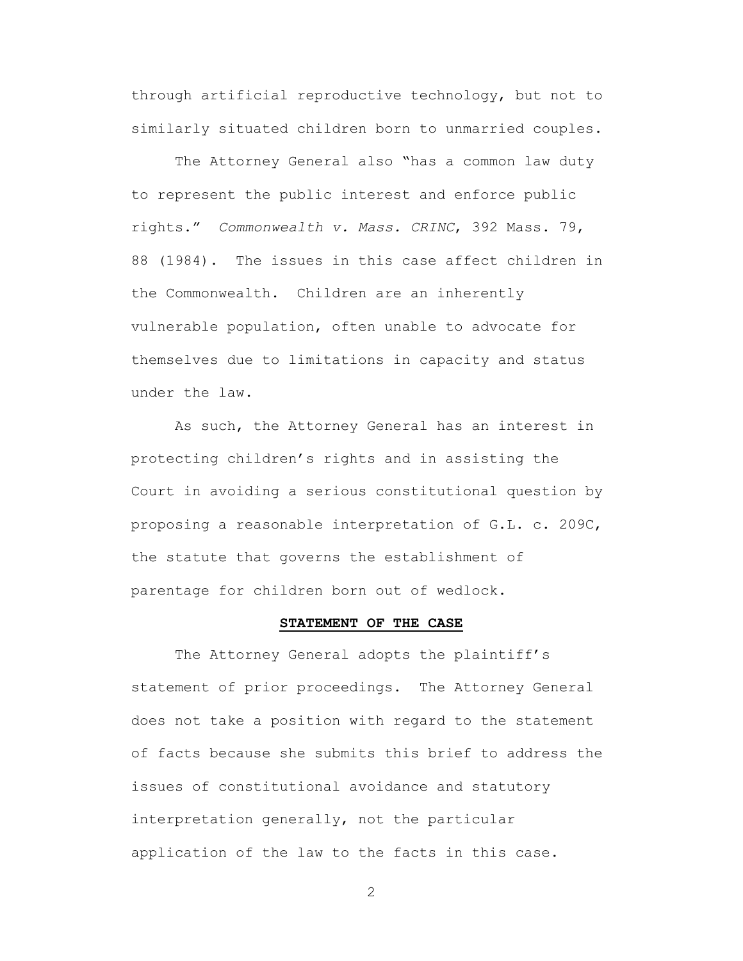through artificial reproductive technology, but not to similarly situated children born to unmarried couples.

The Attorney General also "has a common law duty to represent the public interest and enforce public rights." *Commonwealth v. Mass. CRINC*, 392 Mass. 79, 88 (1984). The issues in this case affect children in the Commonwealth. Children are an inherently vulnerable population, often unable to advocate for themselves due to limitations in capacity and status under the law.

As such, the Attorney General has an interest in protecting children's rights and in assisting the Court in avoiding a serious constitutional question by proposing a reasonable interpretation of G.L. c. 209C, the statute that governs the establishment of parentage for children born out of wedlock.

#### **STATEMENT OF THE CASE**

<span id="page-8-0"></span>The Attorney General adopts the plaintiff's statement of prior proceedings. The Attorney General does not take a position with regard to the statement of facts because she submits this brief to address the issues of constitutional avoidance and statutory interpretation generally, not the particular application of the law to the facts in this case.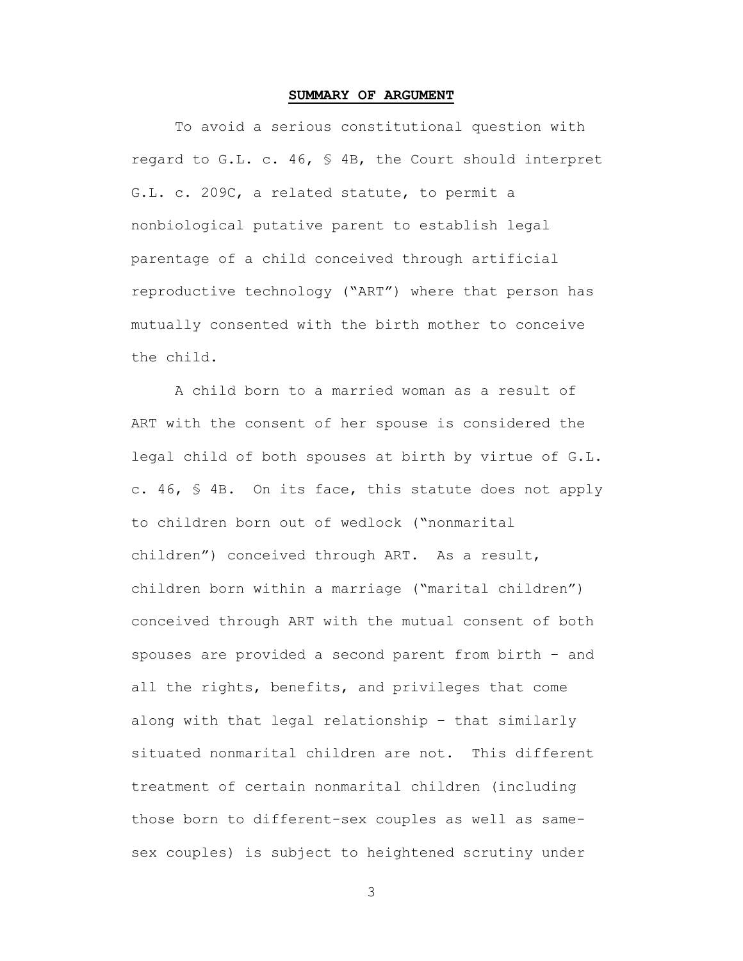#### **SUMMARY OF ARGUMENT**

<span id="page-9-0"></span>To avoid a serious constitutional question with regard to G.L. c. 46, § 4B, the Court should interpret G.L. c. 209C, a related statute, to permit a nonbiological putative parent to establish legal parentage of a child conceived through artificial reproductive technology ("ART") where that person has mutually consented with the birth mother to conceive the child.

A child born to a married woman as a result of ART with the consent of her spouse is considered the legal child of both spouses at birth by virtue of G.L. c. 46, § 4B. On its face, this statute does not apply to children born out of wedlock ("nonmarital children") conceived through ART. As a result, children born within a marriage ("marital children") conceived through ART with the mutual consent of both spouses are provided a second parent from birth – and all the rights, benefits, and privileges that come along with that legal relationship – that similarly situated nonmarital children are not. This different treatment of certain nonmarital children (including those born to different-sex couples as well as samesex couples) is subject to heightened scrutiny under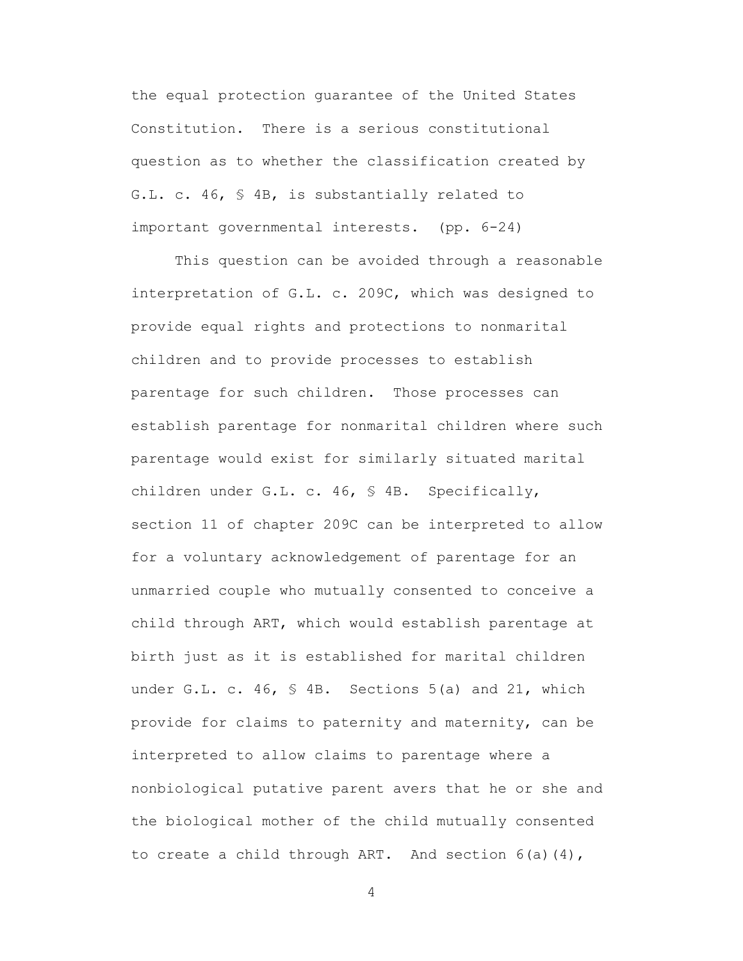the equal protection guarantee of the United States Constitution. There is a serious constitutional question as to whether the classification created by G.L. c. 46, § 4B, is substantially related to important governmental interests. (pp. 6-24)

This question can be avoided through a reasonable interpretation of G.L. c. 209C, which was designed to provide equal rights and protections to nonmarital children and to provide processes to establish parentage for such children. Those processes can establish parentage for nonmarital children where such parentage would exist for similarly situated marital children under G.L. c. 46, § 4B**.** Specifically, section 11 of chapter 209C can be interpreted to allow for a voluntary acknowledgement of parentage for an unmarried couple who mutually consented to conceive a child through ART, which would establish parentage at birth just as it is established for marital children under G.L. c. 46, § 4B. Sections 5(a) and 21, which provide for claims to paternity and maternity, can be interpreted to allow claims to parentage where a nonbiological putative parent avers that he or she and the biological mother of the child mutually consented to create a child through ART. And section  $6(a)(4)$ ,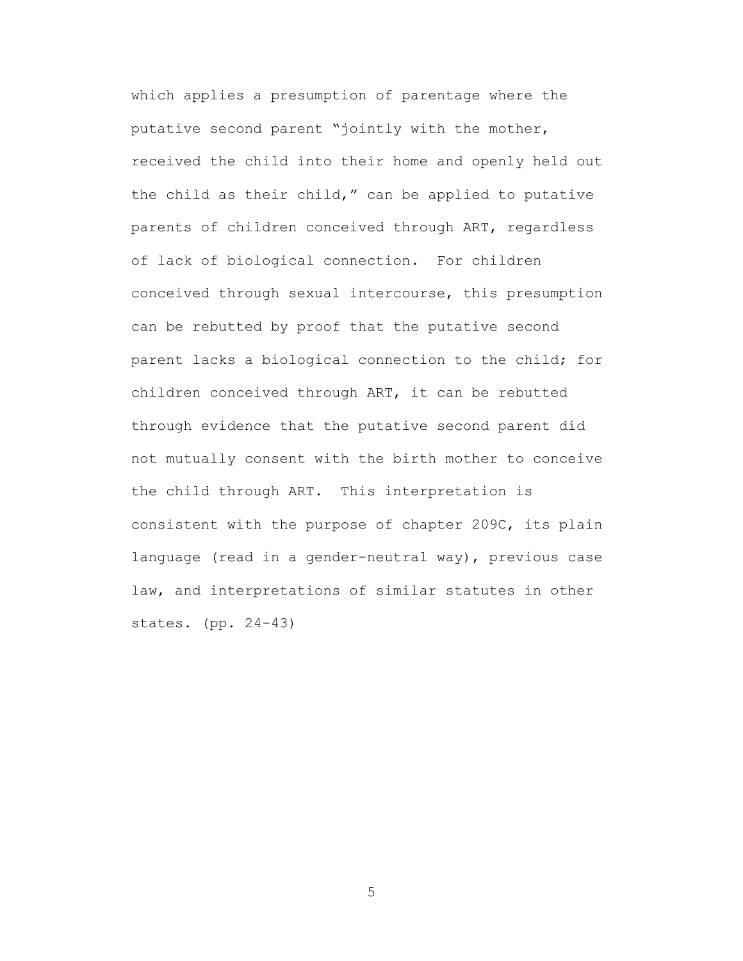which applies a presumption of parentage where the putative second parent "jointly with the mother, received the child into their home and openly held out the child as their child," can be applied to putative parents of children conceived through ART, regardless of lack of biological connection. For children conceived through sexual intercourse, this presumption can be rebutted by proof that the putative second parent lacks a biological connection to the child; for children conceived through ART, it can be rebutted through evidence that the putative second parent did not mutually consent with the birth mother to conceive the child through ART. This interpretation is consistent with the purpose of chapter 209C, its plain language (read in a gender-neutral way), previous case law, and interpretations of similar statutes in other states. (pp. 24-43)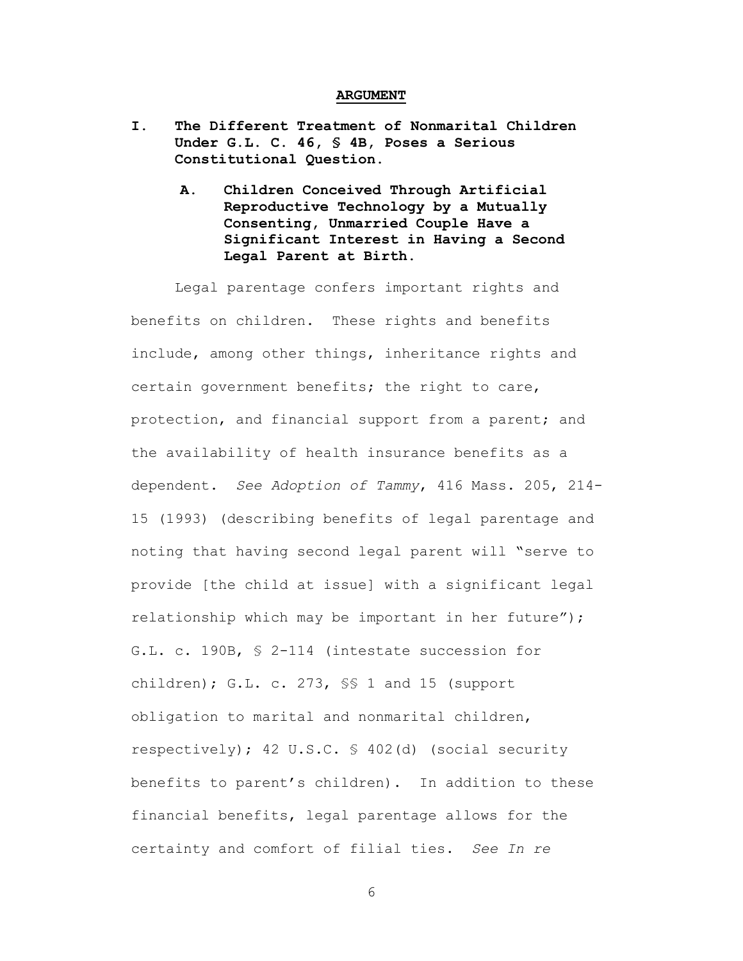#### **ARGUMENT**

- <span id="page-12-2"></span><span id="page-12-1"></span><span id="page-12-0"></span>**I. The Different Treatment of Nonmarital Children Under G.L. C. 46, § 4B, Poses a Serious Constitutional Question.**
	- **A. Children Conceived Through Artificial Reproductive Technology by a Mutually Consenting, Unmarried Couple Have a Significant Interest in Having a Second Legal Parent at Birth.**

Legal parentage confers important rights and benefits on children. These rights and benefits include, among other things, inheritance rights and certain government benefits; the right to care, protection, and financial support from a parent; and the availability of health insurance benefits as a dependent. *See Adoption of Tammy*, [416 Mass. 205,](http://masscases.com/cases/sjc/416/416mass205.html) 214- 15 (1993) (describing benefits of legal parentage and noting that having second legal parent will "serve to provide [the child at issue] with a significant legal relationship which may be important in her future"); G.L. c. 190B, § 2-114 (intestate succession for children); G.L. c. 273, §§ 1 and 15 (support obligation to marital and nonmarital children, respectively); 42 U.S.C. § 402(d) (social security benefits to parent's children). In addition to these financial benefits, legal parentage allows for the certainty and comfort of filial ties. *See In re*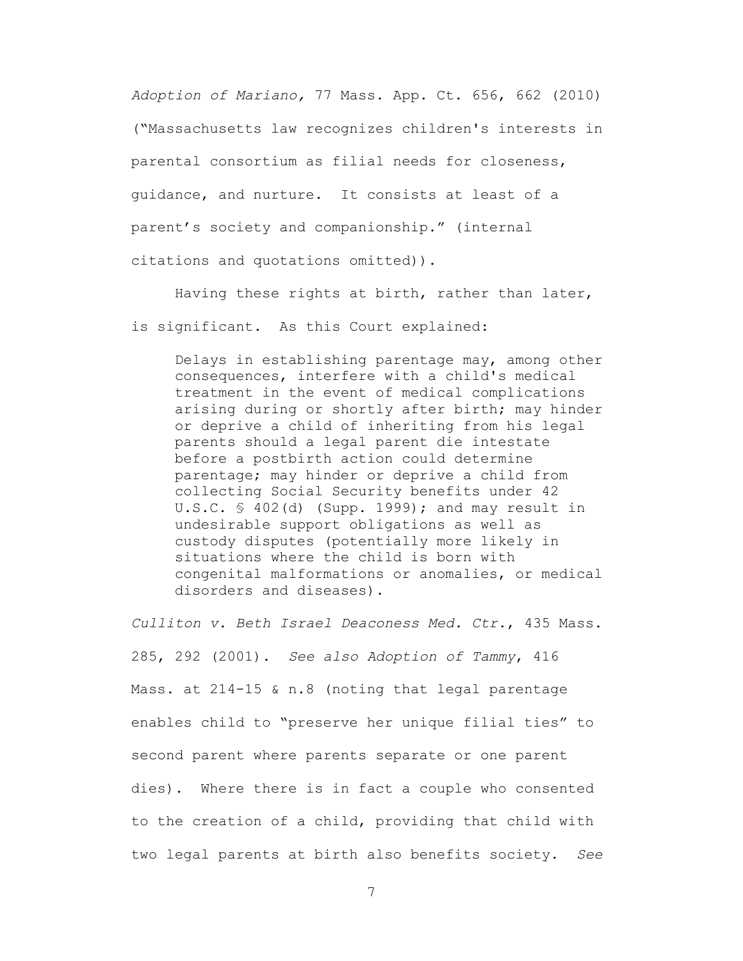*Adoption of Mariano,* 77 Mass. App. Ct. 656, 662 (2010) ("Massachusetts law recognizes children's interests in parental consortium as filial needs for closeness, guidance, and nurture. It consists at least of a parent's society and companionship." (internal citations and quotations omitted)).

Having these rights at birth, rather than later, is significant. As this Court explained:

Delays in establishing parentage may, among other consequences, interfere with a child's medical treatment in the event of medical complications arising during or shortly after birth; may hinder or deprive a child of inheriting from his legal parents should a legal parent die intestate before a postbirth action could determine parentage; may hinder or deprive a child from collecting Social Security benefits under 42  $U.S.C. \S 402(d)$  (Supp. 1999); and may result in undesirable support obligations as well as custody disputes (potentially more likely in situations where the child is born with congenital malformations or anomalies, or medical disorders and diseases).

*Culliton v. Beth Israel Deaconess Med. Ctr.*, 435 Mass. 285, 292 (2001). *See also Adoption of Tammy*, 416 Mass. at 214-15 & n.8 (noting that legal parentage enables child to "preserve her unique filial ties" to second parent where parents separate or one parent dies). Where there is in fact a couple who consented to the creation of a child, providing that child with two legal parents at birth also benefits society. *See*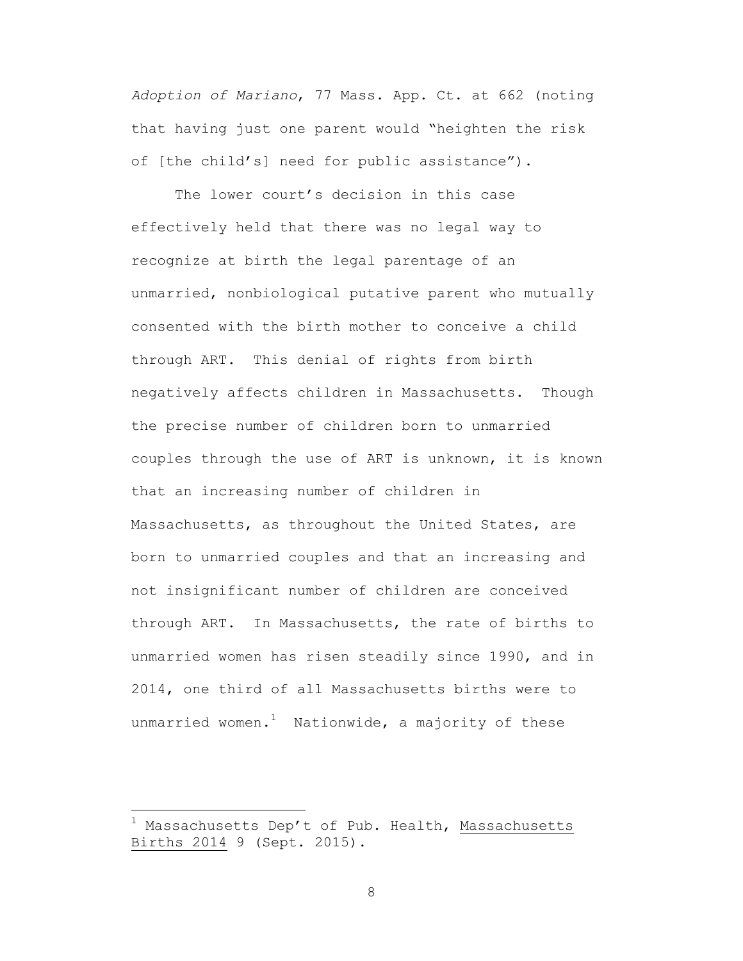*Adoption of Mariano*, 77 Mass. App. Ct. at 662 (noting that having just one parent would "heighten the risk of [the child's] need for public assistance").

The lower court's decision in this case effectively held that there was no legal way to recognize at birth the legal parentage of an unmarried, nonbiological putative parent who mutually consented with the birth mother to conceive a child through ART. This denial of rights from birth negatively affects children in Massachusetts. Though the precise number of children born to unmarried couples through the use of ART is unknown, it is known that an increasing number of children in Massachusetts, as throughout the United States, are born to unmarried couples and that an increasing and not insignificant number of children are conceived through ART. In Massachusetts, the rate of births to unmarried women has risen steadily since 1990, and in 2014, one third of all Massachusetts births were to unmarried women.<sup>1</sup> Nationwide, a majority of these

<span id="page-14-0"></span>i<br>L

 $^1$  Massachusetts Dep't of Pub. Health, Massachusetts Births 2014 9 (Sept. 2015).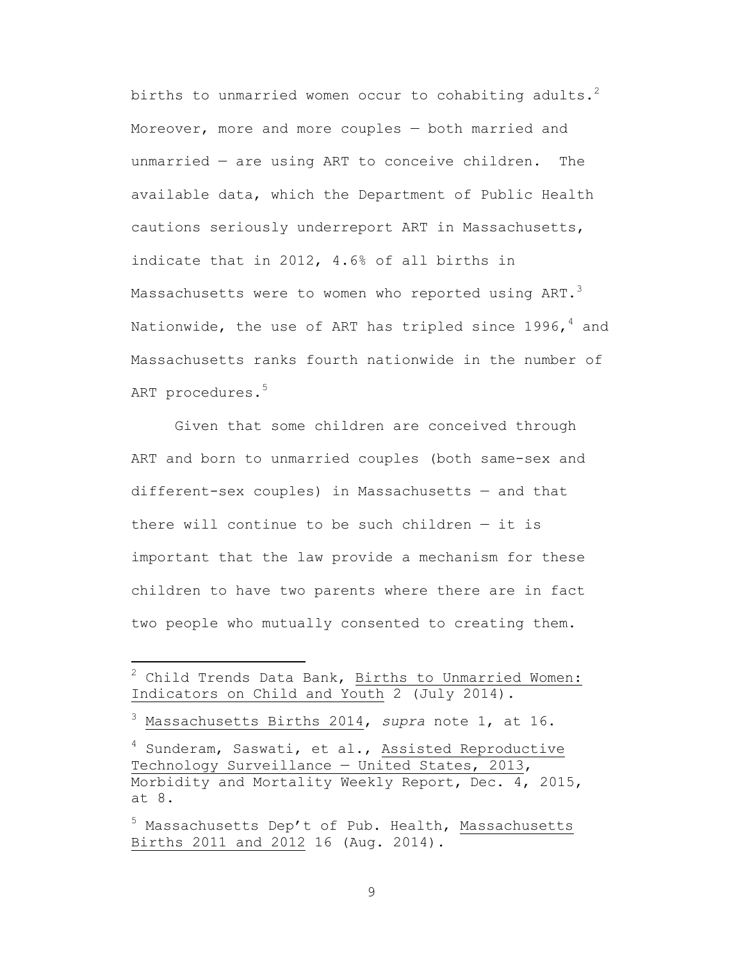births to unmarried women occur to cohabiting adults.<sup>2</sup> Moreover, more and more couples — both married and unmarried — are using ART to conceive children. The available data, which the Department of Public Health cautions seriously underreport ART in Massachusetts, indicate that in 2012, 4.6% of all births in Massachusetts were to women who reported using ART.<sup>3</sup> Nationwide, the use of ART has tripled since 1996, $4$  and Massachusetts ranks fourth nationwide in the number of ART procedures.<sup>5</sup>

Given that some children are conceived through ART and born to unmarried couples (both same-sex and different-sex couples) in Massachusetts — and that there will continue to be such children — it is important that the law provide a mechanism for these children to have two parents where there are in fact two people who mutually consented to creating them.

i<br>L

<sup>2</sup> Child Trends Data Bank, Births to Unmarried Women: Indicators on Child and Youth 2 (July 2014).

<sup>3</sup> Massachusetts Births 2014, *supra* note [1,](#page-14-0) at 16.

 $4$  Sunderam, Saswati, et al., Assisted Reproductive Technology Surveillance — United States, 2013, Morbidity and Mortality Weekly Report, Dec. 4, 2015, at 8.

<sup>5</sup> Massachusetts Dep't of Pub. Health, Massachusetts Births 2011 and 2012 16 (Aug. 2014).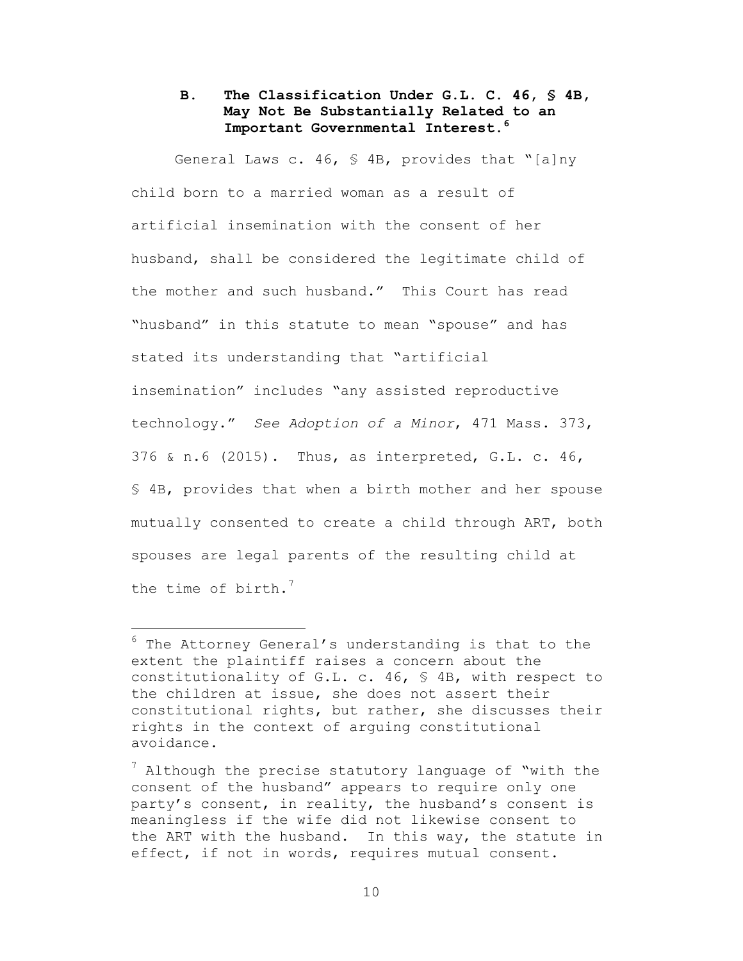# <span id="page-16-0"></span>**B. The Classification Under G.L. C. 46, § 4B, May Not Be Substantially Related to an Important Governmental Interest. 6**

General Laws c. 46, § 4B, provides that "[a]ny child born to a married woman as a result of artificial insemination with the consent of her husband, shall be considered the legitimate child of the mother and such husband." This Court has read "husband" in this statute to mean "spouse" and has stated its understanding that "artificial insemination" includes "any assisted reproductive technology." *See Adoption of a Minor*, 471 Mass. 373, 376 & n.6 (2015). Thus, as interpreted, G.L. c. 46, § 4B, provides that when a birth mother and her spouse mutually consented to create a child through ART, both spouses are legal parents of the resulting child at the time of birth.<sup>7</sup>

 $6$  The Attorney General's understanding is that to the extent the plaintiff raises a concern about the constitutionality of G.L. c. 46, § 4B, with respect to the children at issue, she does not assert their constitutional rights, but rather, she discusses their rights in the context of arguing constitutional avoidance.

 $7$  Although the precise statutory language of "with the consent of the husband" appears to require only one party's consent, in reality, the husband's consent is meaningless if the wife did not likewise consent to the ART with the husband. In this way, the statute in effect, if not in words, requires mutual consent.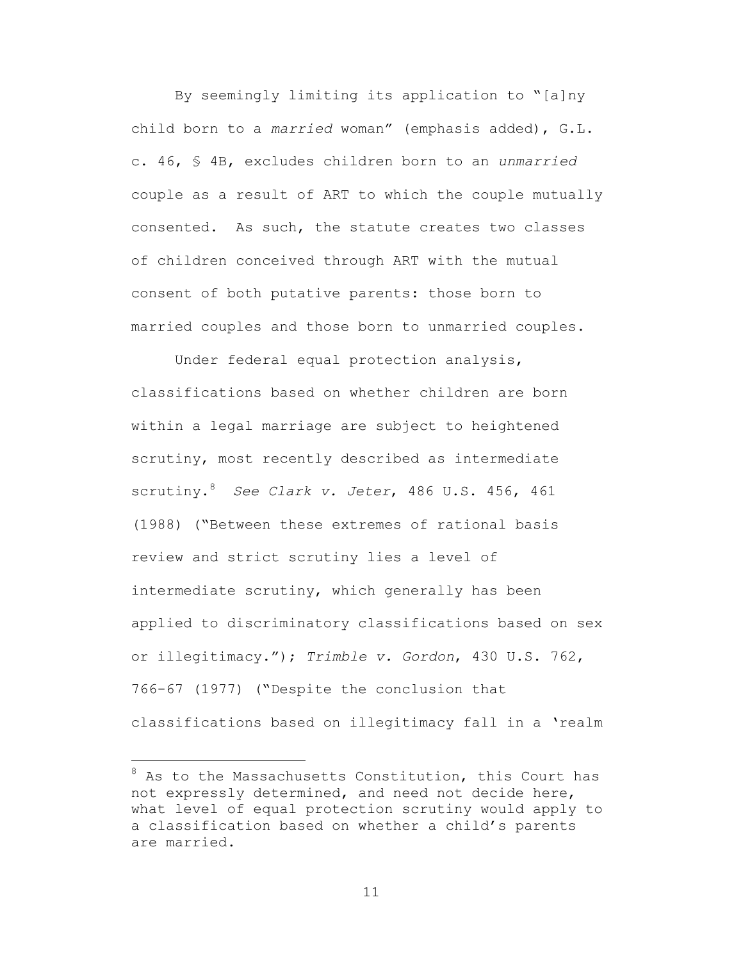By seemingly limiting its application to "[a]ny child born to a *married* woman" (emphasis added), G.L. c. 46, § 4B, excludes children born to an *unmarried* couple as a result of ART to which the couple mutually consented. As such, the statute creates two classes of children conceived through ART with the mutual consent of both putative parents: those born to married couples and those born to unmarried couples.

Under federal equal protection analysis, classifications based on whether children are born within a legal marriage are subject to heightened scrutiny, most recently described as intermediate scrutiny. <sup>8</sup> *See Clark v. Jeter*, 486 U.S. 456, 461 (1988) ("Between these extremes of rational basis review and strict scrutiny lies a level of intermediate scrutiny, which generally has been applied to discriminatory classifications based on sex or illegitimacy."); *Trimble v. Gordon*, 430 U.S. 762, 766-67 (1977) ("Despite the conclusion that classifications based on illegitimacy fall in a 'realm

i<br>L

 $8$  As to the Massachusetts Constitution, this Court has not expressly determined, and need not decide here, what level of equal protection scrutiny would apply to a classification based on whether a child's parents are married.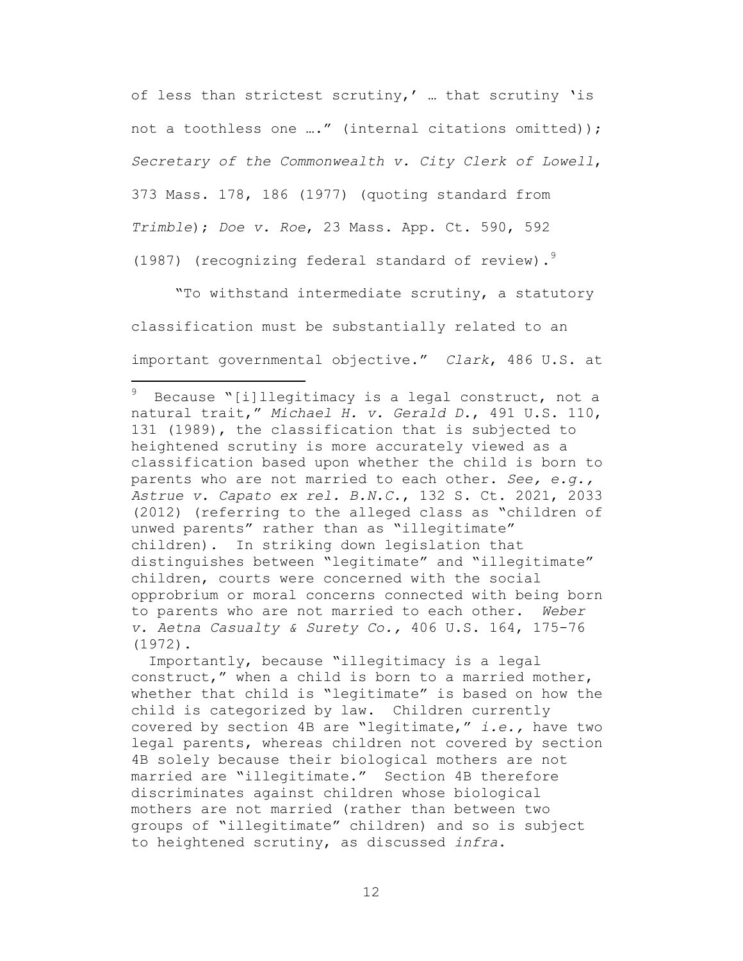of less than strictest scrutiny,' … that scrutiny 'is not a toothless one ..." (internal citations omitted)); *Secretary of the Commonwealth v. City Clerk of Lowell*, 373 Mass. 178, 186 (1977) (quoting standard from *Trimble*); *Doe v. Roe*, 23 Mass. App. Ct. 590, 592 (1987) (recognizing federal standard of review). 9

"To withstand intermediate scrutiny, a statutory classification must be substantially related to an important governmental objective." *Clark*, 486 U.S. at

i<br>L

 Importantly, because "illegitimacy is a legal construct," when a child is born to a married mother, whether that child is "legitimate" is based on how the child is categorized by law. Children currently covered by section 4B are "legitimate," *i.e.,* have two legal parents, whereas children not covered by section 4B solely because their biological mothers are not married are "illegitimate." Section 4B therefore discriminates against children whose biological mothers are not married (rather than between two groups of "illegitimate" children) and so is subject to heightened scrutiny, as discussed *infra*.

<sup>9</sup> Because "[i]llegitimacy is a legal construct, not a natural trait," *Michael H. v. Gerald D.*, 491 U.S. 110, 131 (1989), the classification that is subjected to heightened scrutiny is more accurately viewed as a classification based upon whether the child is born to parents who are not married to each other. *See, e.g., Astrue v. Capato ex rel. B.N.C.*, 132 S. Ct. 2021, 2033 (2012) (referring to the alleged class as "children of unwed parents" rather than as "illegitimate" children). In striking down legislation that distinguishes between "legitimate" and "illegitimate" children, courts were concerned with the social opprobrium or moral concerns connected with being born to parents who are not married to each other. *Weber v. Aetna Casualty & Surety Co.,* 406 U.S. 164, 175-76 (1972).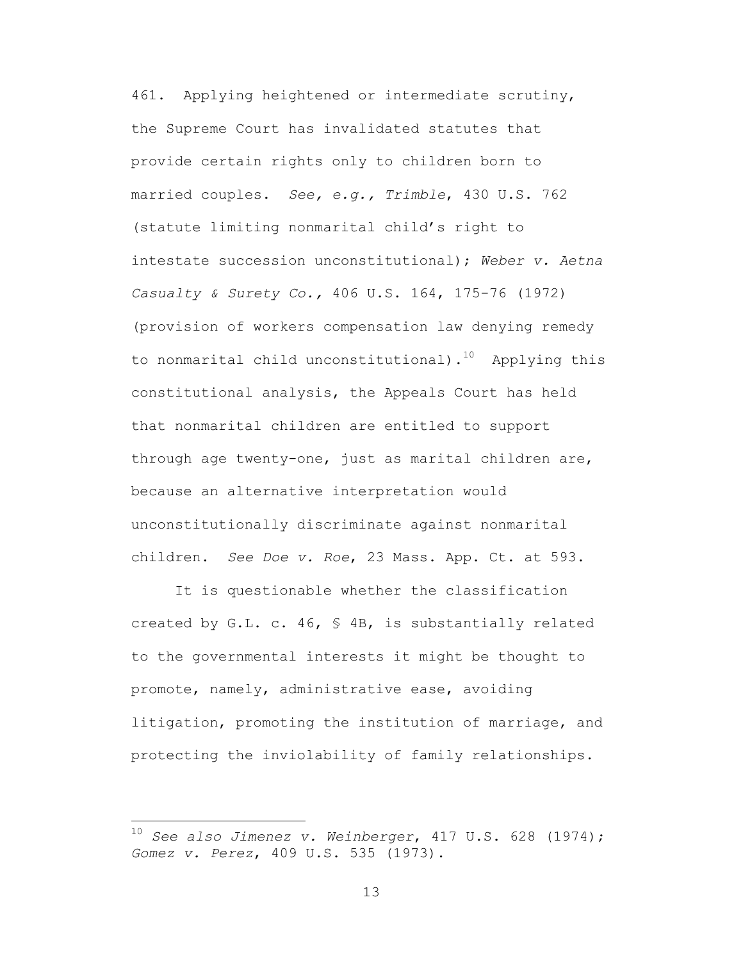461. Applying heightened or intermediate scrutiny, the Supreme Court has invalidated statutes that provide certain rights only to children born to married couples. *See, e.g., Trimble*, 430 U.S. 762 (statute limiting nonmarital child's right to intestate succession unconstitutional); *Weber v. Aetna Casualty & Surety Co.,* 406 U.S. 164, 175-76 (1972) (provision of workers compensation law denying remedy to nonmarital child unconstitutional).<sup>10</sup> Applying this constitutional analysis, the Appeals Court has held that nonmarital children are entitled to support through age twenty-one, just as marital children are, because an alternative interpretation would unconstitutionally discriminate against nonmarital children. *See Doe v. Roe*, 23 Mass. App. Ct. at 593.

It is questionable whether the classification created by G.L. c. 46, § 4B, is substantially related to the governmental interests it might be thought to promote, namely, administrative ease, avoiding litigation, promoting the institution of marriage, and protecting the inviolability of family relationships.

i<br>L

<sup>10</sup> *See also Jimenez v. Weinberger*, 417 U.S. 628 (1974); *Gomez v. Perez*, 409 U.S. 535 (1973).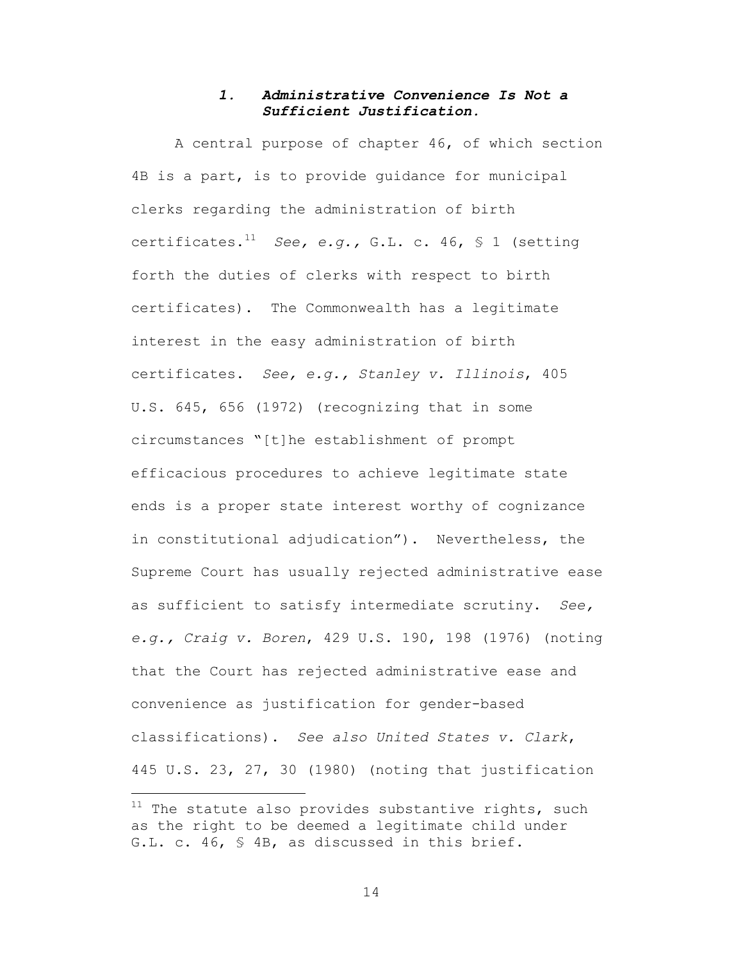#### *1. Administrative Convenience Is Not a Sufficient Justification.*

<span id="page-20-0"></span>A central purpose of chapter 46, of which section 4B is a part, is to provide guidance for municipal clerks regarding the administration of birth certificates.<sup>11</sup> *See, e.g.,* G.L. c. 46, § 1 (setting forth the duties of clerks with respect to birth certificates). The Commonwealth has a legitimate interest in the easy administration of birth certificates. *See, e.g., Stanley v. Illinois*, 405 U.S. 645, 656 (1972) (recognizing that in some circumstances "[t]he establishment of prompt efficacious procedures to achieve legitimate state ends is a proper state interest worthy of cognizance in constitutional adjudication"). Nevertheless, the Supreme Court has usually rejected administrative ease as sufficient to satisfy intermediate scrutiny. *See, e.g., Craig v. Boren*, 429 U.S. 190, 198 (1976) (noting that the Court has rejected administrative ease and convenience as justification for gender-based classifications). *See also United States v. Clark*, 445 U.S. 23, 27, 30 (1980) (noting that justification

i<br>L

 $11$  The statute also provides substantive rights, such as the right to be deemed a legitimate child under G.L. c. 46, § 4B, as discussed in this brief.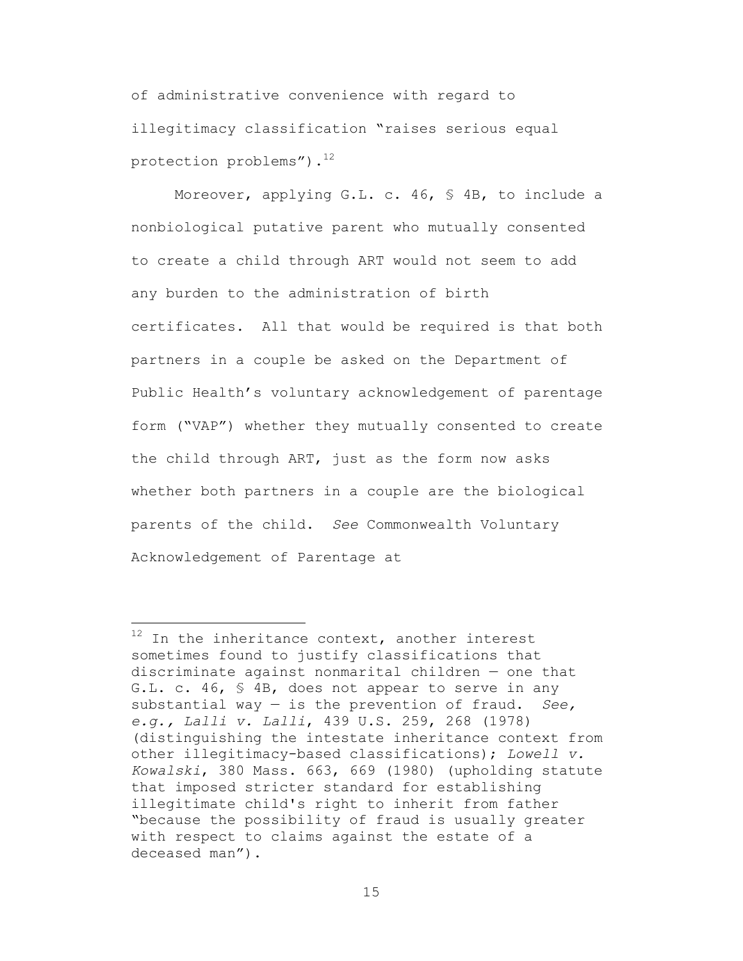of administrative convenience with regard to illegitimacy classification "raises serious equal protection problems"). $^{12}$ 

Moreover, applying G.L. c. 46, § 4B, to include a nonbiological putative parent who mutually consented to create a child through ART would not seem to add any burden to the administration of birth certificates. All that would be required is that both partners in a couple be asked on the Department of Public Health's voluntary acknowledgement of parentage form ("VAP") whether they mutually consented to create the child through ART, just as the form now asks whether both partners in a couple are the biological parents of the child. *See* Commonwealth Voluntary Acknowledgement of Parentage at

 $12$  In the inheritance context, another interest sometimes found to justify classifications that discriminate against nonmarital children — one that G.L. c. 46, § 4B, does not appear to serve in any substantial way — is the prevention of fraud. *See, e.g., Lalli v. Lalli*, 439 U.S. 259, 268 (1978) (distinguishing the intestate inheritance context from other illegitimacy-based classifications); *Lowell v. Kowalski*, 380 Mass. 663, 669 (1980) (upholding statute that imposed stricter standard for establishing illegitimate child's right to inherit from father "because the possibility of fraud is usually greater with respect to claims against the estate of a deceased man").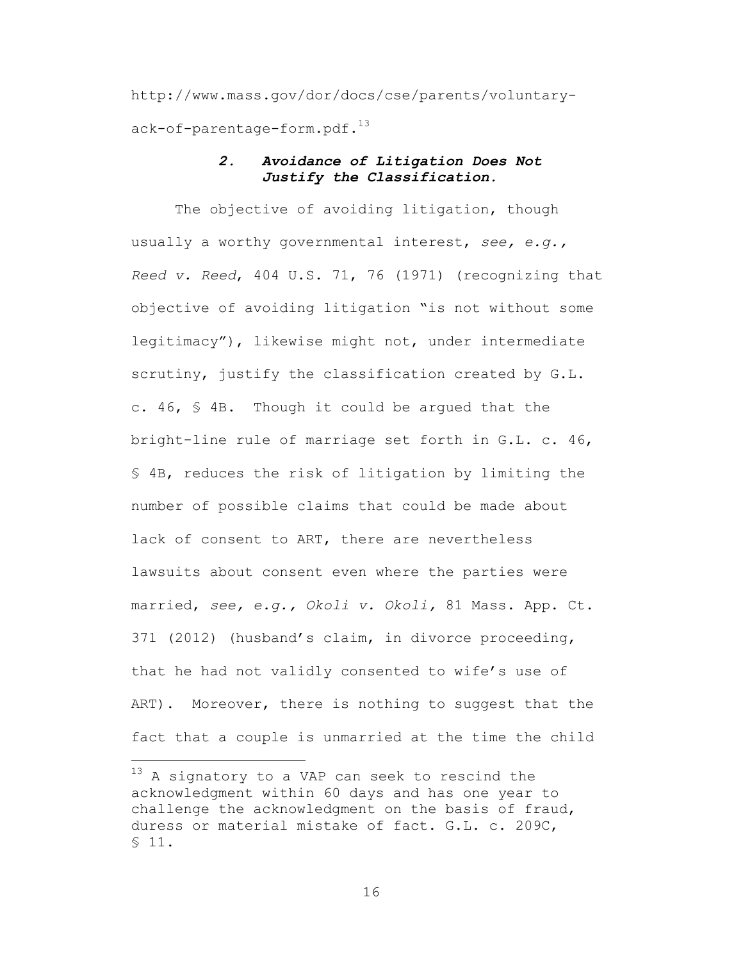http://www.mass.gov/dor/docs/cse/parents/voluntaryack-of-parentage-form.pdf. $^{13}$ 

#### *2. Avoidance of Litigation Does Not Justify the Classification.*

<span id="page-22-0"></span>The objective of avoiding litigation, though usually a worthy governmental interest, *see, e.g., Reed v. Reed*, 404 U.S. 71, 76 (1971) (recognizing that objective of avoiding litigation "is not without some legitimacy"), likewise might not, under intermediate scrutiny, justify the classification created by G.L. c. 46, § 4B. Though it could be argued that the bright-line rule of marriage set forth in G.L. c. 46, § 4B, reduces the risk of litigation by limiting the number of possible claims that could be made about lack of consent to ART, there are nevertheless lawsuits about consent even where the parties were married, *see, e.g., Okoli v. Okoli,* 81 Mass. App. Ct. 371 (2012) (husband's claim, in divorce proceeding, that he had not validly consented to wife's use of ART). Moreover, there is nothing to suggest that the fact that a couple is unmarried at the time the child

i<br>L

 $13$  A signatory to a VAP can seek to rescind the acknowledgment within 60 days and has one year to challenge the acknowledgment on the basis of fraud, duress or material mistake of fact. G.L. c. 209C, § 11.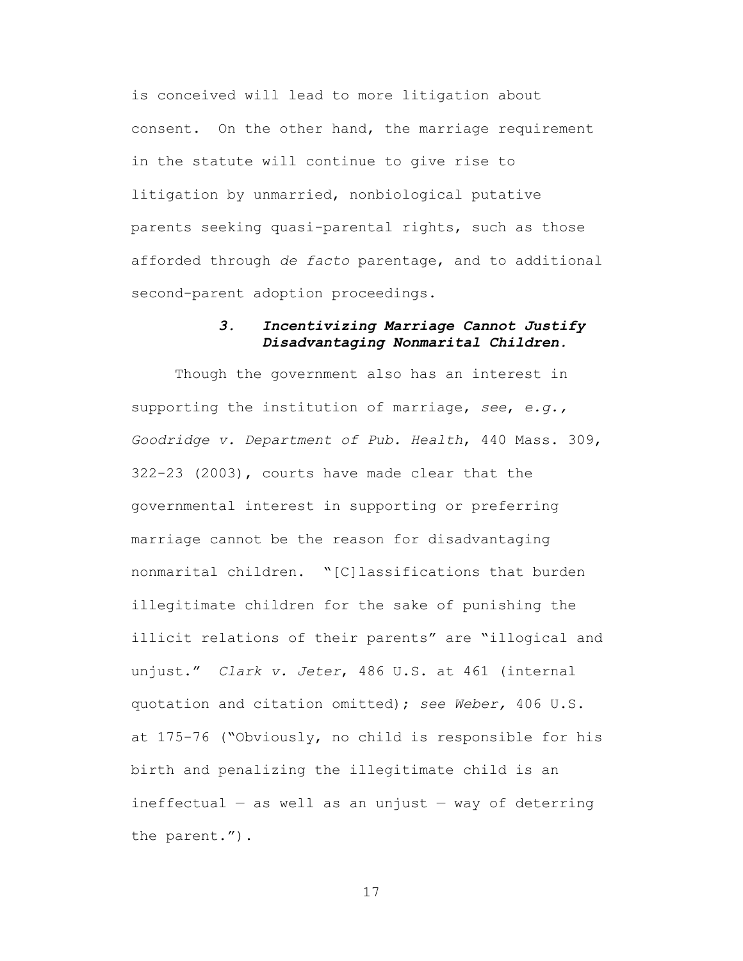is conceived will lead to more litigation about consent. On the other hand, the marriage requirement in the statute will continue to give rise to litigation by unmarried, nonbiological putative parents seeking quasi-parental rights, such as those afforded through *de facto* parentage, and to additional second-parent adoption proceedings.

#### *3. Incentivizing Marriage Cannot Justify Disadvantaging Nonmarital Children.*

<span id="page-23-0"></span>Though the government also has an interest in supporting the institution of marriage, *see*, *e.g., Goodridge v. Department of Pub. Health*, 440 Mass. 309, 322-23 (2003), courts have made clear that the governmental interest in supporting or preferring marriage cannot be the reason for disadvantaging nonmarital children. "[C]lassifications that burden illegitimate children for the sake of punishing the illicit relations of their parents" are "illogical and unjust." *Clark v. Jeter*, 486 U.S. at 461 (internal quotation and citation omitted); *see Weber,* 406 U.S. at 175-76 ("Obviously, no child is responsible for his birth and penalizing the illegitimate child is an ineffectual  $-$  as well as an unjust  $-$  way of deterring the parent.").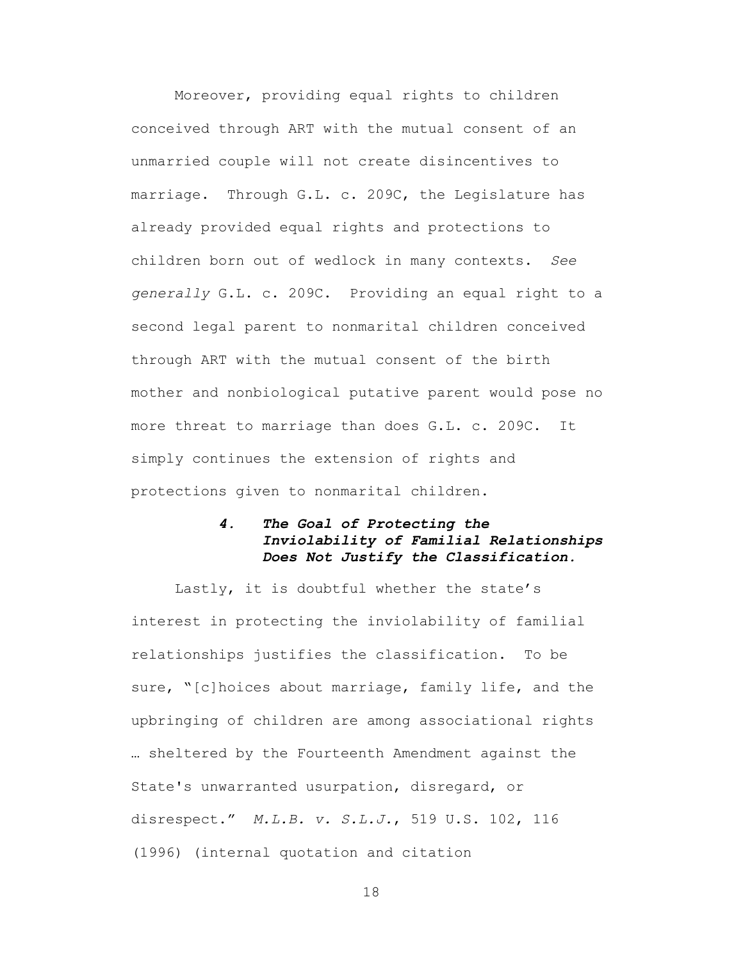Moreover, providing equal rights to children conceived through ART with the mutual consent of an unmarried couple will not create disincentives to marriage. Through G.L. c. 209C, the Legislature has already provided equal rights and protections to children born out of wedlock in many contexts. *See generally* G.L. c. 209C. Providing an equal right to a second legal parent to nonmarital children conceived through ART with the mutual consent of the birth mother and nonbiological putative parent would pose no more threat to marriage than does G.L. c. 209C. It simply continues the extension of rights and protections given to nonmarital children.

# *4. The Goal of Protecting the Inviolability of Familial Relationships Does Not Justify the Classification.*

<span id="page-24-0"></span>Lastly, it is doubtful whether the state's interest in protecting the inviolability of familial relationships justifies the classification. To be sure, "[c]hoices about marriage, family life, and the upbringing of children are among associational rights … sheltered by the Fourteenth Amendment against the State's unwarranted usurpation, disregard, or disrespect." *M.L.B. v. S.L.J.*, 519 U.S. 102, 116 (1996) (internal quotation and citation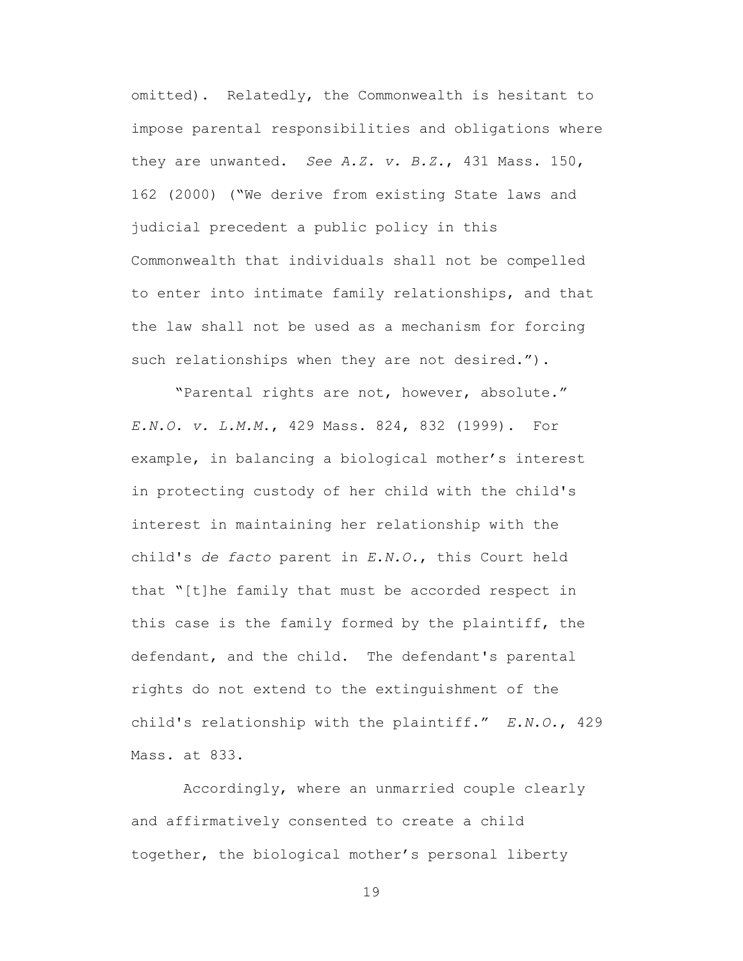omitted). Relatedly, the Commonwealth is hesitant to impose parental responsibilities and obligations where they are unwanted. *See A.Z. v. B.Z.*, 431 Mass. 150, 162 (2000) ("We derive from existing State laws and judicial precedent a public policy in this Commonwealth that individuals shall not be compelled to enter into intimate family relationships, and that the law shall not be used as a mechanism for forcing such relationships when they are not desired.").

"Parental rights are not, however, absolute." *E.N.O. v. L.M.M.*, 429 Mass. 824, 832 (1999). For example, in balancing a biological mother's interest in protecting custody of her child with the child's interest in maintaining her relationship with the child's *de facto* parent in *E.N.O.*, this Court held that "[t]he family that must be accorded respect in this case is the family formed by the plaintiff, the defendant, and the child. The defendant's parental rights do not extend to the extinguishment of the child's relationship with the plaintiff." *E.N.O.*, 429 Mass. at 833.

Accordingly, where an unmarried couple clearly and affirmatively consented to create a child together, the biological mother's personal liberty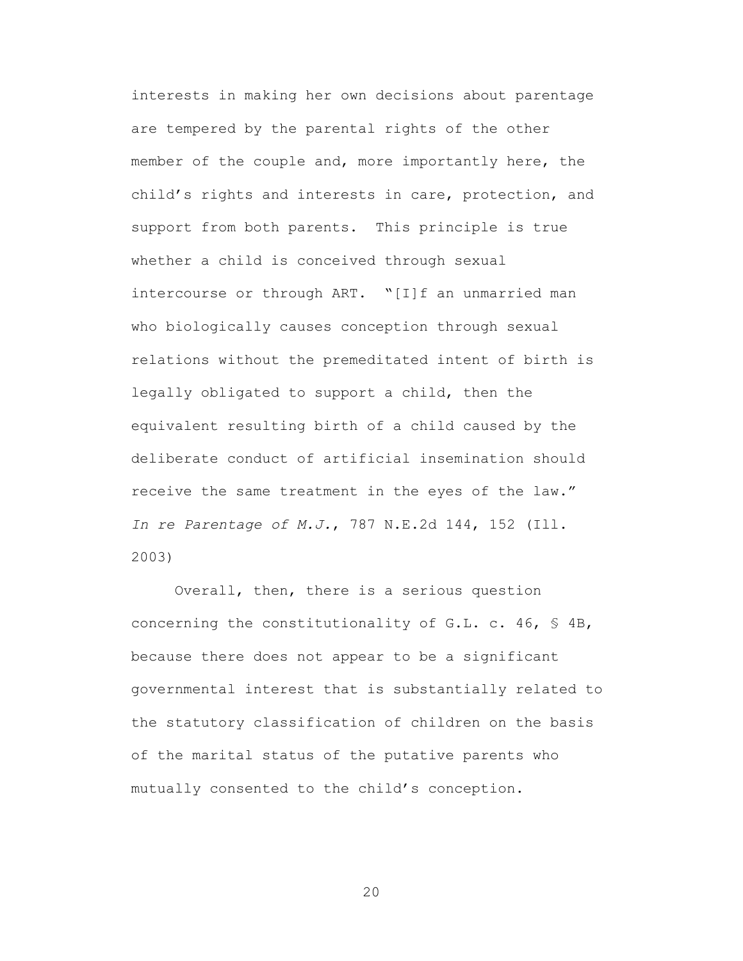interests in making her own decisions about parentage are tempered by the parental rights of the other member of the couple and, more importantly here, the child's rights and interests in care, protection, and support from both parents. This principle is true whether a child is conceived through sexual intercourse or through ART. "[I]f an unmarried man who biologically causes conception through sexual relations without the premeditated intent of birth is legally obligated to support a child, then the equivalent resulting birth of a child caused by the deliberate conduct of artificial insemination should receive the same treatment in the eyes of the law." *In re Parentage of M.J.*, 787 N.E.2d 144, 152 (Ill. 2003)

Overall, then, there is a serious question concerning the constitutionality of  $G.L. c. 46, S. 4B,$ because there does not appear to be a significant governmental interest that is substantially related to the statutory classification of children on the basis of the marital status of the putative parents who mutually consented to the child's conception.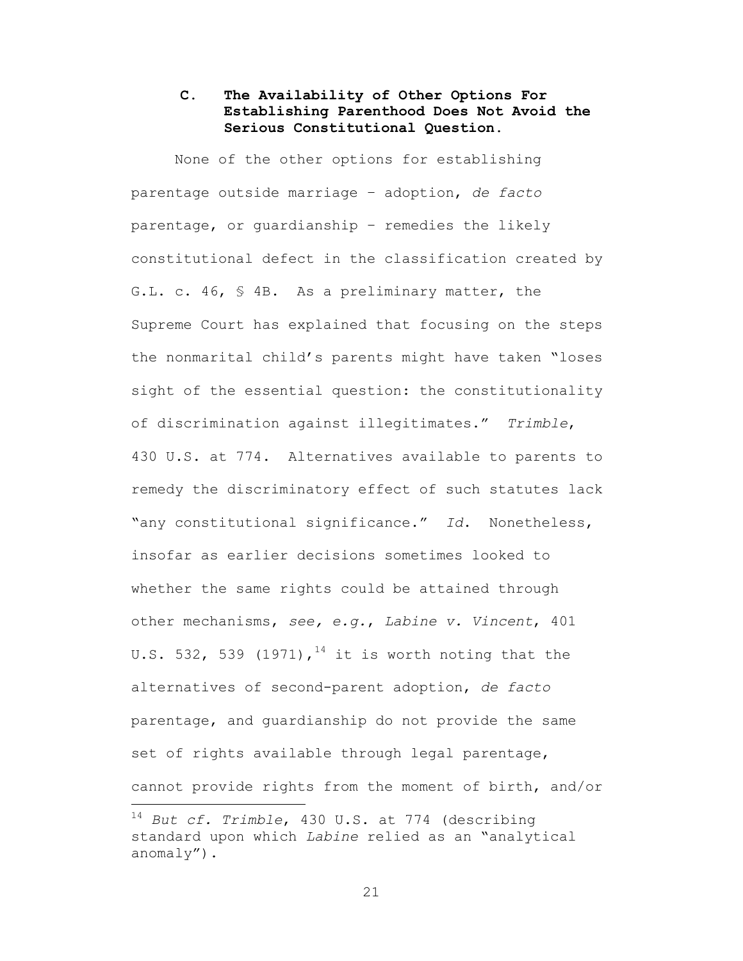#### <span id="page-27-0"></span>**C. The Availability of Other Options For Establishing Parenthood Does Not Avoid the Serious Constitutional Question.**

None of the other options for establishing parentage outside marriage – adoption, *de facto* parentage, or guardianship – remedies the likely constitutional defect in the classification created by G.L. c. 46, § 4B. As a preliminary matter, the Supreme Court has explained that focusing on the steps the nonmarital child's parents might have taken "loses sight of the essential question: the constitutionality of discrimination against illegitimates." *Trimble*, 430 U.S. at 774. Alternatives available to parents to remedy the discriminatory effect of such statutes lack "any constitutional significance." *Id*. Nonetheless, insofar as earlier decisions sometimes looked to whether the same rights could be attained through other mechanisms, *see, e.g.*, *Labine v. Vincent*, 401 U.S. 532, 539 (1971), $^{14}$  it is worth noting that the alternatives of second-parent adoption, *de facto* parentage, and guardianship do not provide the same set of rights available through legal parentage, cannot provide rights from the moment of birth, and/or i<br>L

<sup>14</sup> *But cf. Trimble*, 430 U.S. at 774 (describing standard upon which *Labine* relied as an "analytical anomaly").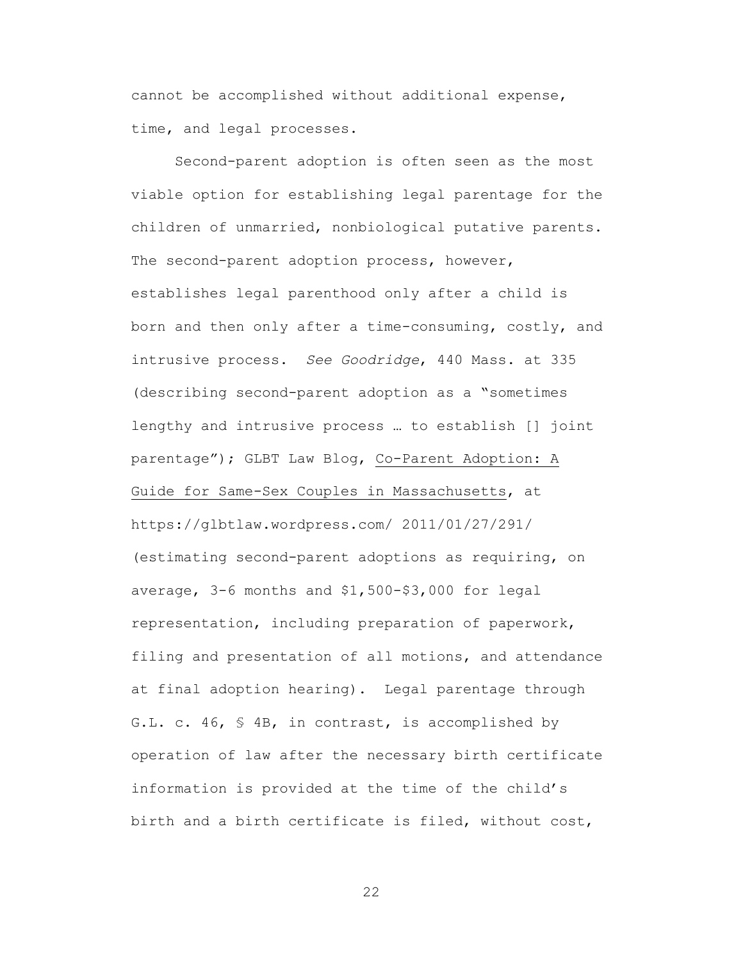cannot be accomplished without additional expense, time, and legal processes.

Second-parent adoption is often seen as the most viable option for establishing legal parentage for the children of unmarried, nonbiological putative parents. The second-parent adoption process, however, establishes legal parenthood only after a child is born and then only after a time-consuming, costly, and intrusive process. *See Goodridge*, 440 Mass. at 335 (describing second-parent adoption as a "sometimes lengthy and intrusive process … to establish [] joint parentage"); GLBT Law Blog, Co-Parent Adoption: A Guide for Same-Sex Couples in Massachusetts, at https://glbtlaw.wordpress.com/ 2011/01/27/291/ (estimating second-parent adoptions as requiring, on average, 3-6 months and \$1,500-\$3,000 for legal representation, including preparation of paperwork, filing and presentation of all motions, and attendance at final adoption hearing). Legal parentage through G.L. c. 46, § 4B, in contrast, is accomplished by operation of law after the necessary birth certificate information is provided at the time of the child's birth and a birth certificate is filed, without cost,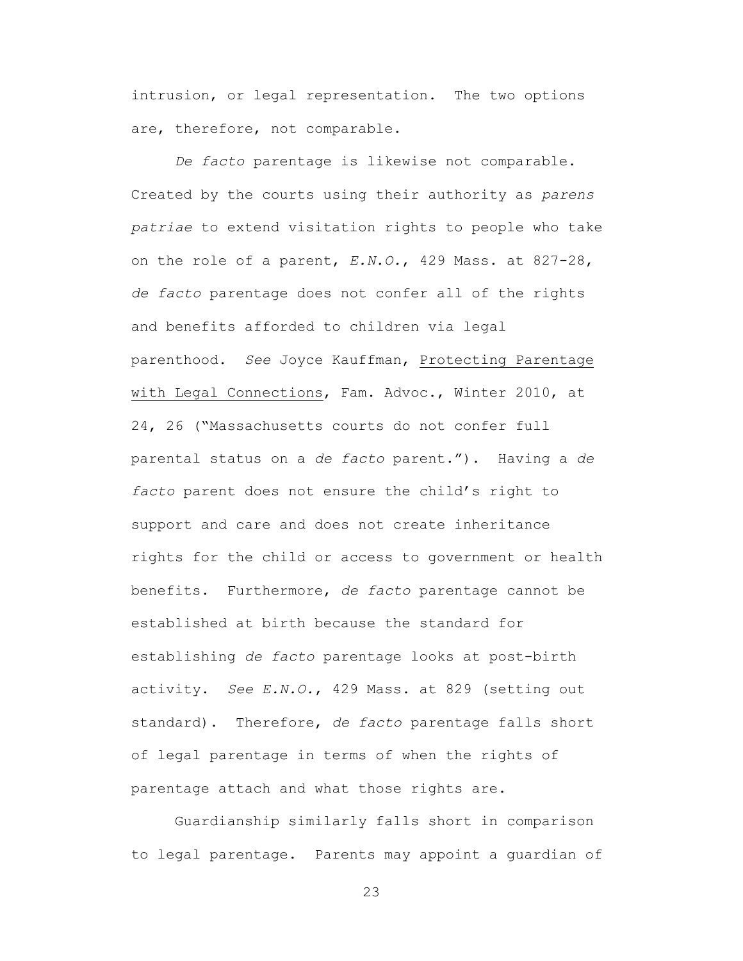intrusion, or legal representation. The two options are, therefore, not comparable.

*De facto* parentage is likewise not comparable. Created by the courts using their authority as *parens patriae* to extend visitation rights to people who take on the role of a parent, *E.N.O.*, 429 Mass. at 827-28, *de facto* parentage does not confer all of the rights and benefits afforded to children via legal parenthood. *See* Joyce Kauffman, Protecting Parentage with Legal Connections, Fam. Advoc., Winter 2010, at 24, 26 ("Massachusetts courts do not confer full parental status on a *de facto* parent."). Having a *de facto* parent does not ensure the child's right to support and care and does not create inheritance rights for the child or access to government or health benefits. Furthermore, *de facto* parentage cannot be established at birth because the standard for establishing *de facto* parentage looks at post-birth activity. *See E.N.O.*, 429 Mass. at 829 (setting out standard). Therefore, *de facto* parentage falls short of legal parentage in terms of when the rights of parentage attach and what those rights are.

Guardianship similarly falls short in comparison to legal parentage. Parents may appoint a guardian of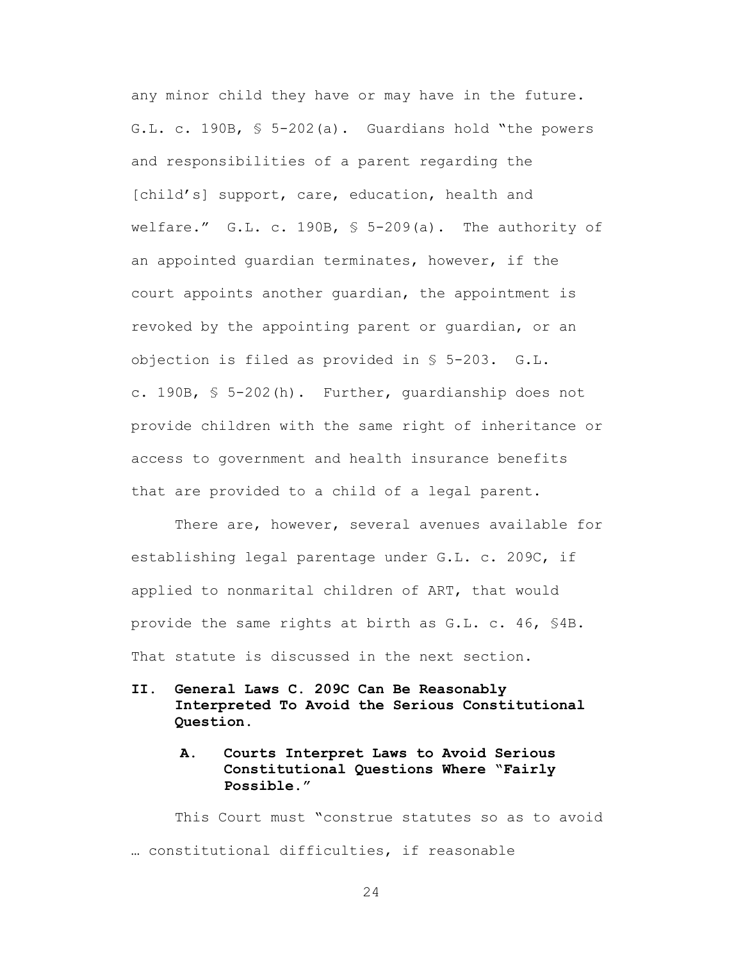any minor child they have or may have in the future. G.L. c. 190B, § 5-202(a). Guardians hold "the powers and responsibilities of a parent regarding the [child's] support, care, education, health and welfare." G.L. c. 190B, § 5-209(a). The authority of an appointed guardian terminates, however, if the court appoints another guardian, the appointment is revoked by the appointing parent or guardian, or an objection is filed as provided in § 5-203. G.L. c. 190B, § 5-202(h). Further, guardianship does not provide children with the same right of inheritance or access to government and health insurance benefits that are provided to a child of a legal parent.

There are, however, several avenues available for establishing legal parentage under G.L. c. 209C, if applied to nonmarital children of ART, that would provide the same rights at birth as G.L. c. 46, §4B. That statute is discussed in the next section.

#### <span id="page-30-0"></span>**II. General Laws C. 209C Can Be Reasonably Interpreted To Avoid the Serious Constitutional Question.**

# <span id="page-30-1"></span>**A. Courts Interpret Laws to Avoid Serious Constitutional Questions Where "Fairly Possible."**

This Court must "construe statutes so as to avoid … constitutional difficulties, if reasonable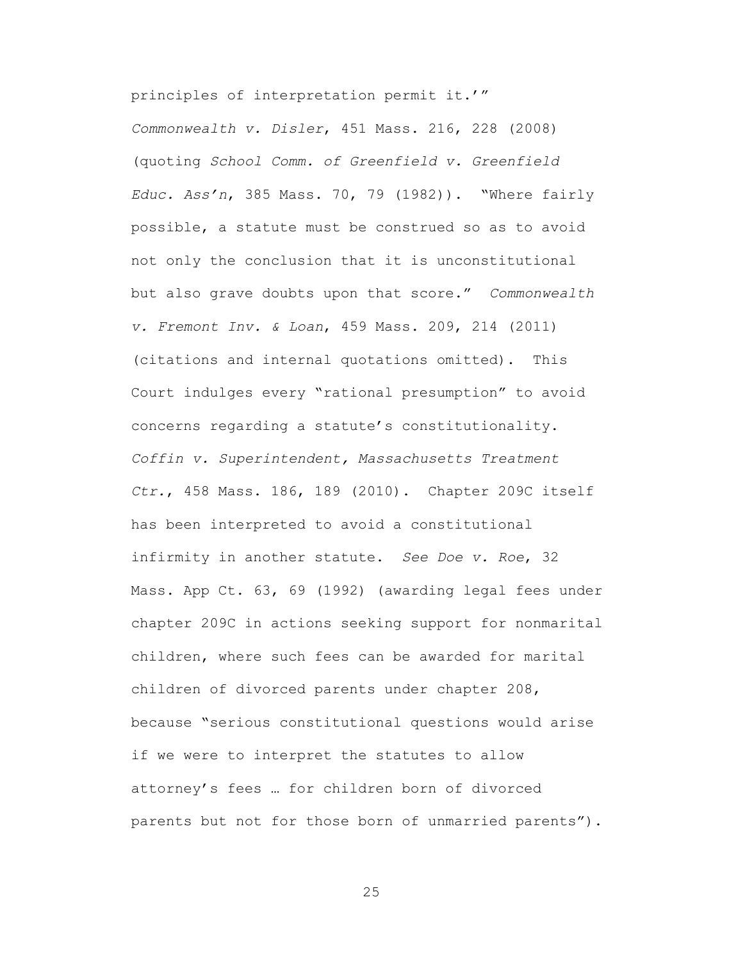principles of interpretation permit it.'" *Commonwealth v. Disler*, 451 Mass. 216, 228 (2008) (quoting *School Comm. of Greenfield v. Greenfield Educ. Ass'n*, 385 Mass. 70, 79 (1982)). "Where fairly possible, a statute must be construed so as to avoid not only the conclusion that it is unconstitutional but also grave doubts upon that score." *Commonwealth v. Fremont Inv. & Loan*, 459 Mass. 209, 214 (2011) (citations and internal quotations omitted). This Court indulges every "rational presumption" to avoid concerns regarding a statute's constitutionality. *Coffin v. Superintendent, Massachusetts Treatment Ctr.*, 458 Mass. 186, 189 (2010). Chapter 209C itself has been interpreted to avoid a constitutional infirmity in another statute. *See Doe v. Roe*, 32 Mass. App Ct. 63, 69 (1992) (awarding legal fees under chapter 209C in actions seeking support for nonmarital children, where such fees can be awarded for marital children of divorced parents under chapter 208, because "serious constitutional questions would arise if we were to interpret the statutes to allow attorney's fees … for children born of divorced parents but not for those born of unmarried parents").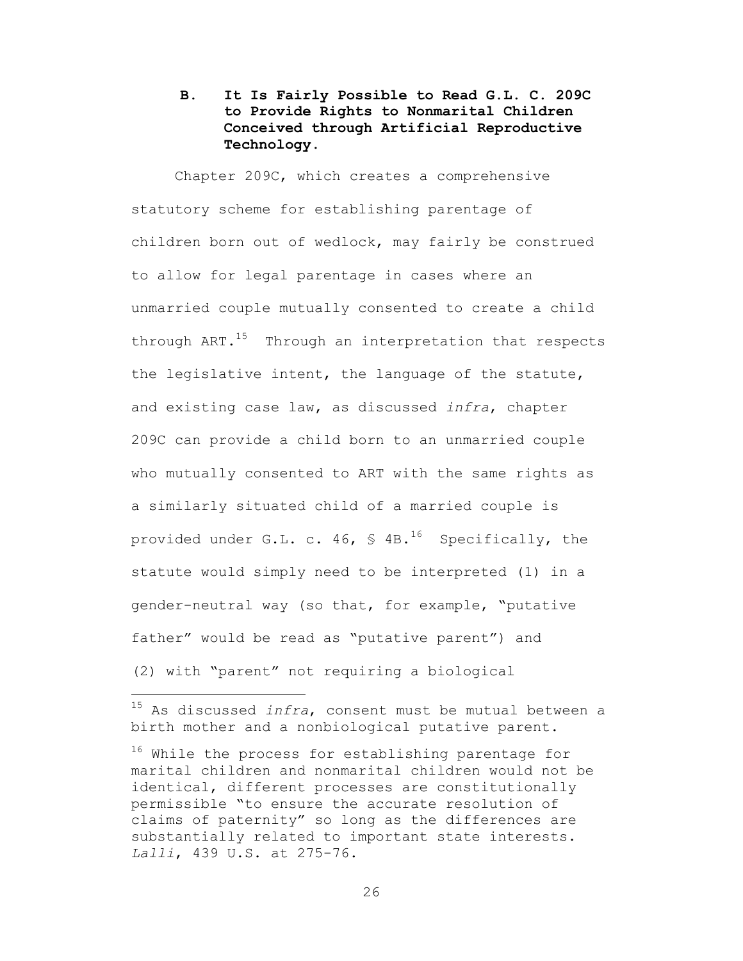<span id="page-32-0"></span>**B. It Is Fairly Possible to Read G.L. C. 209C to Provide Rights to Nonmarital Children Conceived through Artificial Reproductive Technology.**

Chapter 209C, which creates a comprehensive statutory scheme for establishing parentage of children born out of wedlock, may fairly be construed to allow for legal parentage in cases where an unmarried couple mutually consented to create a child through  $ART.^{15}$  Through an interpretation that respects the legislative intent, the language of the statute, and existing case law, as discussed *infra*, chapter 209C can provide a child born to an unmarried couple who mutually consented to ART with the same rights as a similarly situated child of a married couple is provided under G.L. c. 46, § 4B. $^{16}$  Specifically, the statute would simply need to be interpreted (1) in a gender-neutral way (so that, for example, "putative father" would be read as "putative parent") and (2) with "parent" not requiring a biological

<sup>15</sup> As discussed *infra*, consent must be mutual between a birth mother and a nonbiological putative parent.

<sup>&</sup>lt;sup>16</sup> While the process for establishing parentage for marital children and nonmarital children would not be identical, different processes are constitutionally permissible "to ensure the accurate resolution of claims of paternity" so long as the differences are substantially related to important state interests. *Lalli*, 439 U.S. at 275-76.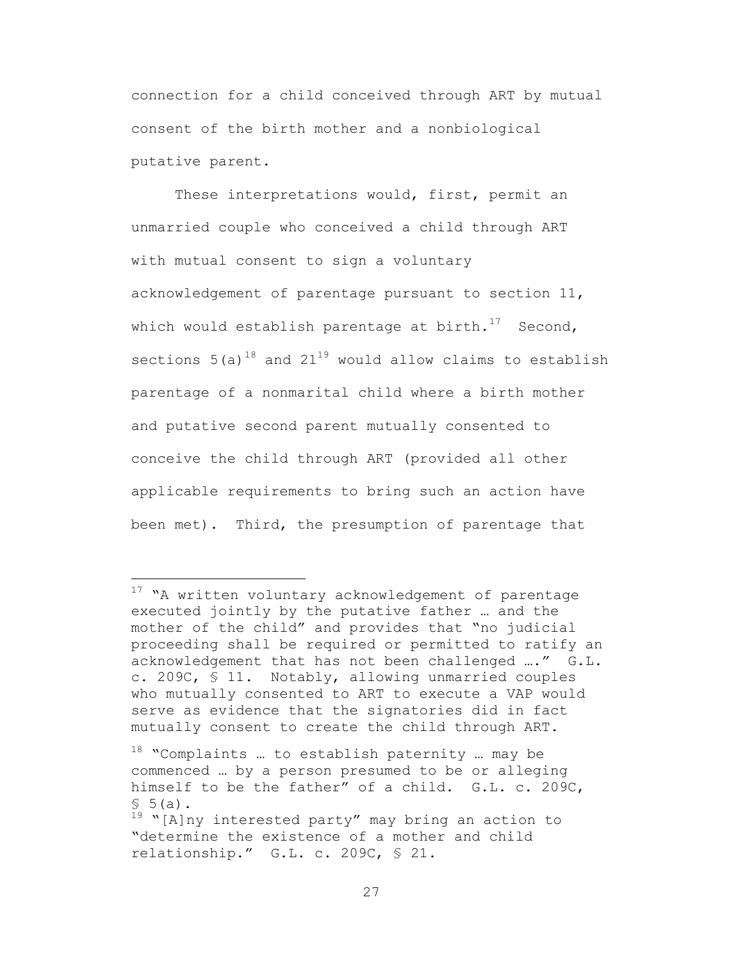connection for a child conceived through ART by mutual consent of the birth mother and a nonbiological putative parent.

These interpretations would, first, permit an unmarried couple who conceived a child through ART with mutual consent to sign a voluntary acknowledgement of parentage pursuant to section 11, which would establish parentage at birth. $^{17}$  Second, sections  $5(a)^{18}$  and  $21^{19}$  would allow claims to establish parentage of a nonmarital child where a birth mother and putative second parent mutually consented to conceive the child through ART (provided all other applicable requirements to bring such an action have been met). Third, the presumption of parentage that

<sup>&</sup>lt;sup>17</sup> "A written voluntary acknowledgement of parentage executed jointly by the putative father … and the mother of the child" and provides that "no judicial proceeding shall be required or permitted to ratify an acknowledgement that has not been challenged …." G.L. c. 209C, § 11. Notably, allowing unmarried couples who mutually consented to ART to execute a VAP would serve as evidence that the signatories did in fact mutually consent to create the child through ART.

 $18$  "Complaints ... to establish paternity ... may be commenced … by a person presumed to be or alleging himself to be the father" of a child. G.L. c. 209C,  $$5(a).$ 

<sup>&</sup>lt;sup>19</sup> "[A]ny interested party" may bring an action to "determine the existence of a mother and child relationship." G.L. c. 209C, § 21.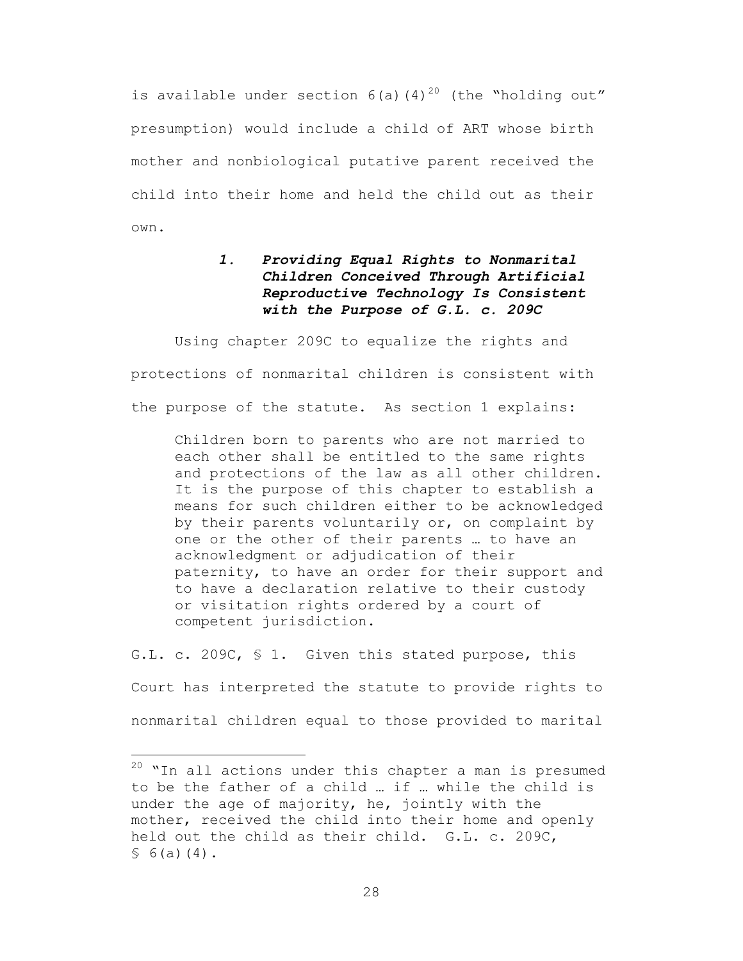is available under section  $6(a)$  (4)<sup>20</sup> (the "holding out" presumption) would include a child of ART whose birth mother and nonbiological putative parent received the child into their home and held the child out as their own.

# *1. Providing Equal Rights to Nonmarital Children Conceived Through Artificial Reproductive Technology Is Consistent with the Purpose of G.L. c. 209C*

<span id="page-34-0"></span>Using chapter 209C to equalize the rights and protections of nonmarital children is consistent with the purpose of the statute. As section 1 explains:

Children born to parents who are not married to each other shall be entitled to the same rights and protections of the law as all other children. It is the purpose of this chapter to establish a means for such children either to be acknowledged by their parents voluntarily or, on complaint by one or the other of their parents … to have an acknowledgment or adjudication of their paternity, to have an order for their support and to have a declaration relative to their custody or visitation rights ordered by a court of competent jurisdiction.

G.L. c. 209C, § 1. Given this stated purpose, this Court has interpreted the statute to provide rights to nonmarital children equal to those provided to marital

 $20$  "In all actions under this chapter a man is presumed to be the father of a child … if … while the child is under the age of majority, he, jointly with the mother, received the child into their home and openly held out the child as their child. G.L. c. 209C,  $§ 6(a)(4).$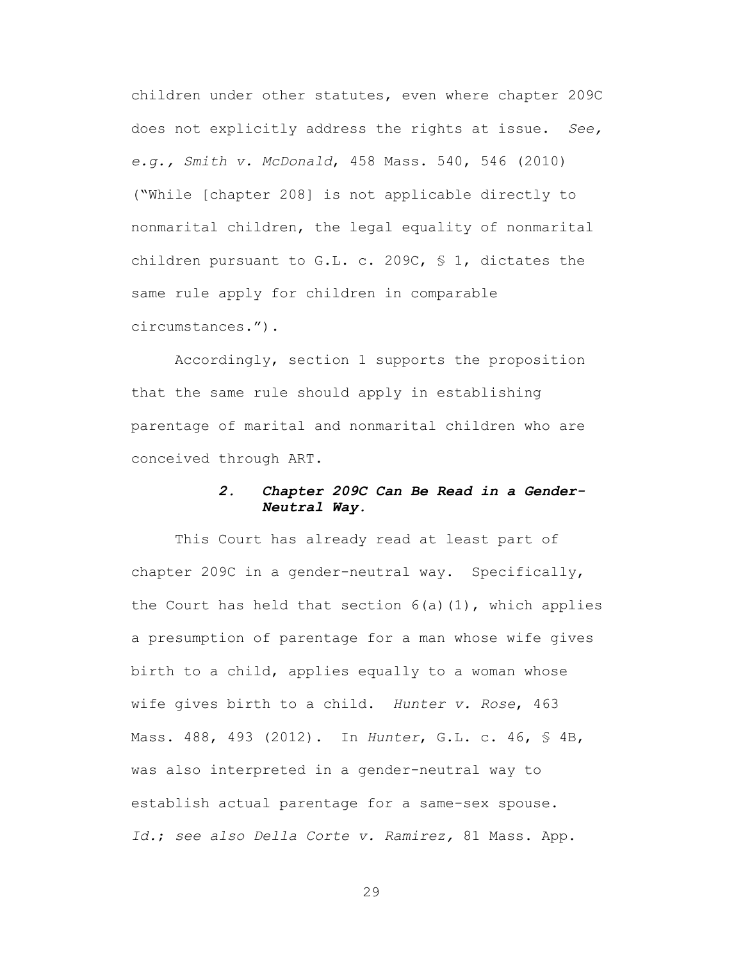children under other statutes, even where chapter 209C does not explicitly address the rights at issue. *See, e.g., Smith v. McDonald*, 458 Mass. 540, 546 (2010) ("While [chapter 208] is not applicable directly to nonmarital children, the legal equality of nonmarital children pursuant to G.L. c. 209C, § 1, dictates the same rule apply for children in comparable circumstances.").

Accordingly, section 1 supports the proposition that the same rule should apply in establishing parentage of marital and nonmarital children who are conceived through ART.

#### *2. Chapter 209C Can Be Read in a Gender-Neutral Way.*

<span id="page-35-0"></span>This Court has already read at least part of chapter 209C in a gender-neutral way. Specifically, the Court has held that section  $6(a)(1)$ , which applies a presumption of parentage for a man whose wife gives birth to a child, applies equally to a woman whose wife gives birth to a child. *Hunter v. Rose*, 463 Mass. 488, 493 (2012). In *Hunter*, G.L. c. 46, § 4B, was also interpreted in a gender-neutral way to establish actual parentage for a same-sex spouse. *Id.*; *see also Della Corte v. Ramirez,* 81 Mass. App.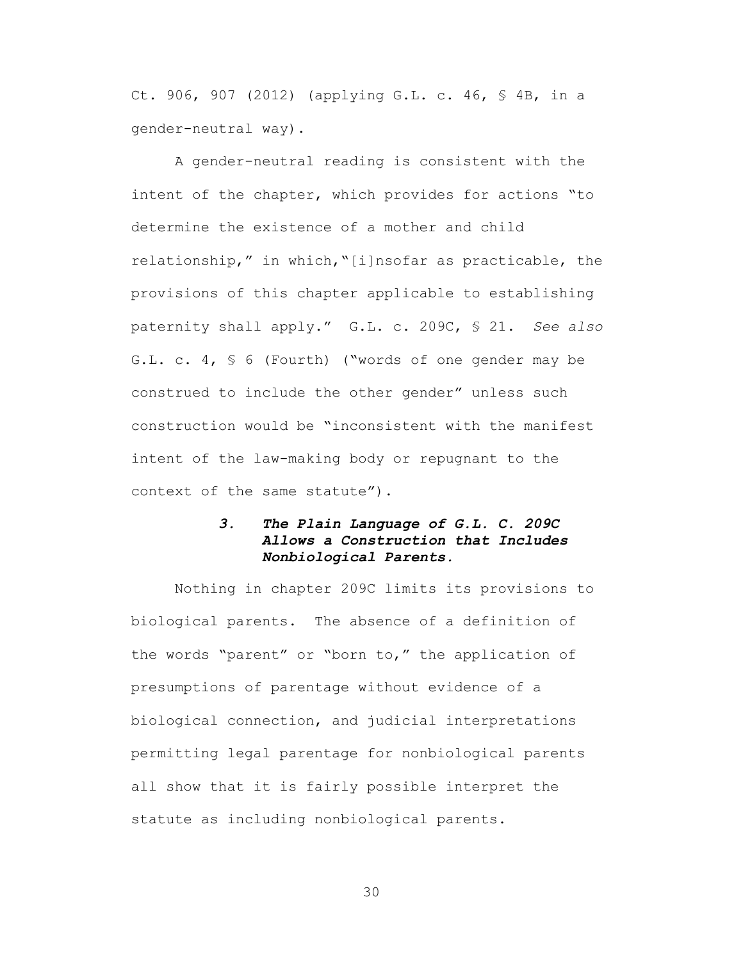Ct. 906, 907 (2012) (applying G.L. c. 46, § 4B, in a gender-neutral way).

A gender-neutral reading is consistent with the intent of the chapter, which provides for actions "to determine the existence of a mother and child relationship," in which,"[i]nsofar as practicable, the provisions of this chapter applicable to establishing paternity shall apply." G.L. c. 209C, § 21. *See also* G.L. c. 4, § 6 (Fourth) ("words of one gender may be construed to include the other gender" unless such construction would be "inconsistent with the manifest intent of the law-making body or repugnant to the context of the same statute").

# *3. The Plain Language of G.L. C. 209C Allows a Construction that Includes Nonbiological Parents.*

<span id="page-36-0"></span>Nothing in chapter 209C limits its provisions to biological parents. The absence of a definition of the words "parent" or "born to," the application of presumptions of parentage without evidence of a biological connection, and judicial interpretations permitting legal parentage for nonbiological parents all show that it is fairly possible interpret the statute as including nonbiological parents.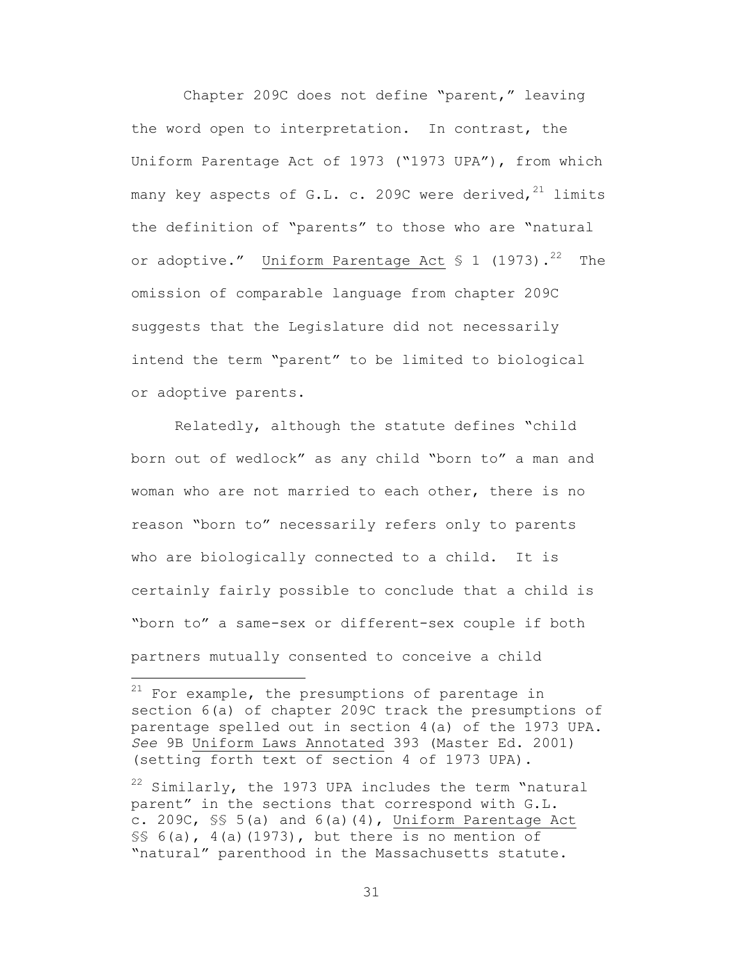Chapter 209C does not define "parent," leaving the word open to interpretation. In contrast, the Uniform Parentage Act of 1973 ("1973 UPA"), from which many key aspects of G.L. c. 209C were derived,  $21$  limits the definition of "parents" to those who are "natural or adoptive." Uniform Parentage Act § 1 (1973). $^{22}$  The omission of comparable language from chapter 209C suggests that the Legislature did not necessarily intend the term "parent" to be limited to biological or adoptive parents.

Relatedly, although the statute defines "child born out of wedlock" as any child "born to" a man and woman who are not married to each other, there is no reason "born to" necessarily refers only to parents who are biologically connected to a child. It is certainly fairly possible to conclude that a child is "born to" a same-sex or different-sex couple if both partners mutually consented to conceive a child

i<br>L

 $21$  For example, the presumptions of parentage in section 6(a) of chapter 209C track the presumptions of parentage spelled out in section 4(a) of the 1973 UPA. *See* 9B Uniform Laws Annotated 393 (Master Ed. 2001) (setting forth text of section 4 of 1973 UPA).

 $22$  Similarly, the 1973 UPA includes the term "natural parent" in the sections that correspond with G.L. c. 209C, §§ 5(a) and 6(a)(4), Uniform Parentage Act  $\S$ § 6(a), 4(a)(1973), but there is no mention of "natural" parenthood in the Massachusetts statute.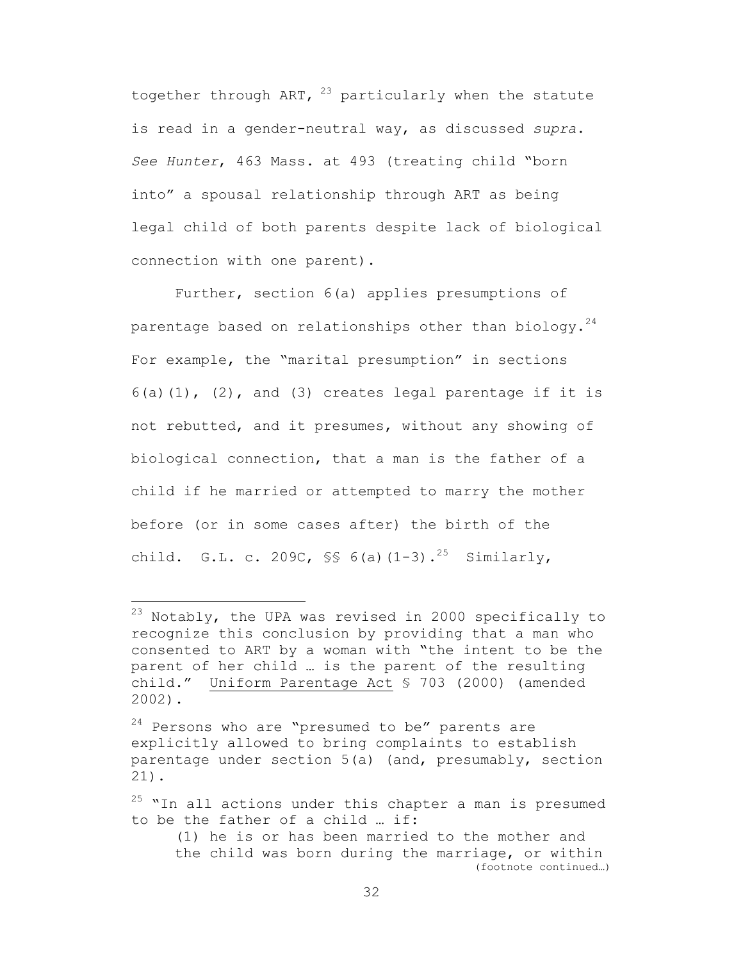together through ART, <sup>23</sup> particularly when the statute is read in a gender-neutral way, as discussed *supra*. *See Hunter*, 463 Mass. at 493 (treating child "born into" a spousal relationship through ART as being legal child of both parents despite lack of biological connection with one parent).

Further, section 6(a) applies presumptions of parentage based on relationships other than biology.<sup>24</sup> For example, the "marital presumption" in sections  $6(a)(1)$ ,  $(2)$ , and  $(3)$  creates legal parentage if it is not rebutted, and it presumes, without any showing of biological connection, that a man is the father of a child if he married or attempted to marry the mother before (or in some cases after) the birth of the child. G.L. c. 209C,  $\$  6(a)(1-3).<sup>25</sup> Similarly,

 $^{23}$  Notably, the UPA was revised in 2000 specifically to recognize this conclusion by providing that a man who consented to ART by a woman with "the intent to be the parent of her child … is the parent of the resulting child." Uniform Parentage Act § 703 (2000) (amended 2002).

 $24$  Persons who are "presumed to be" parents are explicitly allowed to bring complaints to establish parentage under section 5(a) (and, presumably, section 21).

 $25$  "In all actions under this chapter a man is presumed to be the father of a child … if:

<sup>(1)</sup> he is or has been married to the mother and the child was born during the marriage, or within (footnote continued…)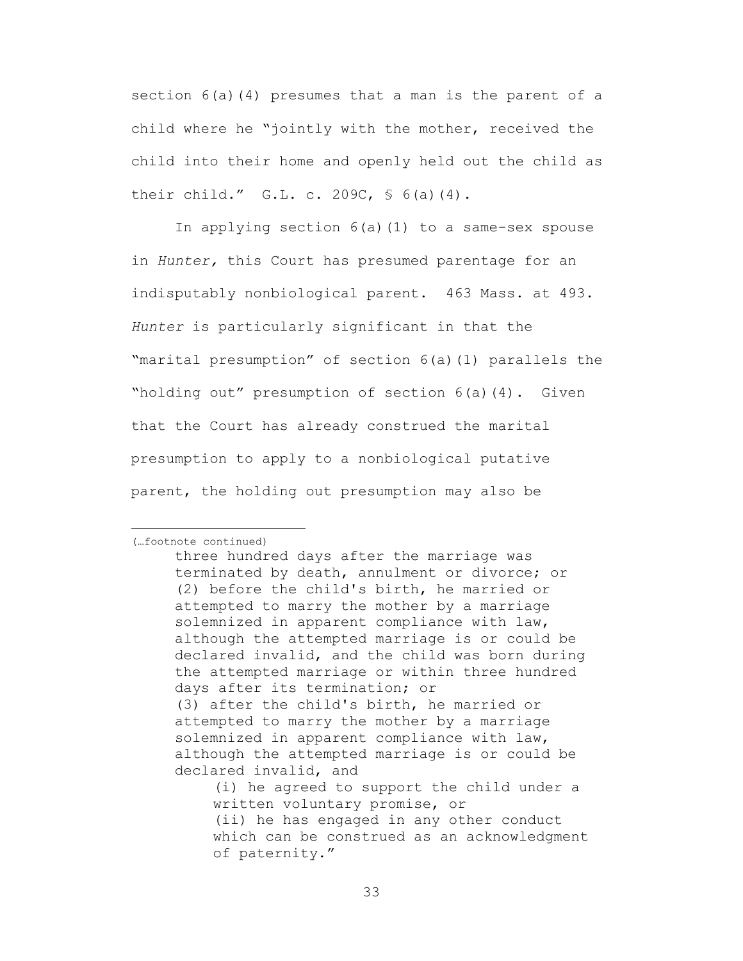section  $6(a)(4)$  presumes that a man is the parent of a child where he "jointly with the mother, received the child into their home and openly held out the child as their child." G.L. c. 209C, § 6(a)(4).

In applying section  $6(a)(1)$  to a same-sex spouse in *Hunter,* this Court has presumed parentage for an indisputably nonbiological parent. 463 Mass. at 493. *Hunter* is particularly significant in that the "marital presumption" of section 6(a)(1) parallels the "holding out" presumption of section 6(a)(4). Given that the Court has already construed the marital presumption to apply to a nonbiological putative parent, the holding out presumption may also be

i<br>L

(i) he agreed to support the child under a written voluntary promise, or (ii) he has engaged in any other conduct which can be construed as an acknowledgment of paternity."

<sup>(…</sup>footnote continued)

three hundred days after the marriage was terminated by death, annulment or divorce; or (2) before the child's birth, he married or attempted to marry the mother by a marriage solemnized in apparent compliance with law, although the attempted marriage is or could be declared invalid, and the child was born during the attempted marriage or within three hundred days after its termination; or (3) after the child's birth, he married or attempted to marry the mother by a marriage solemnized in apparent compliance with law, although the attempted marriage is or could be declared invalid, and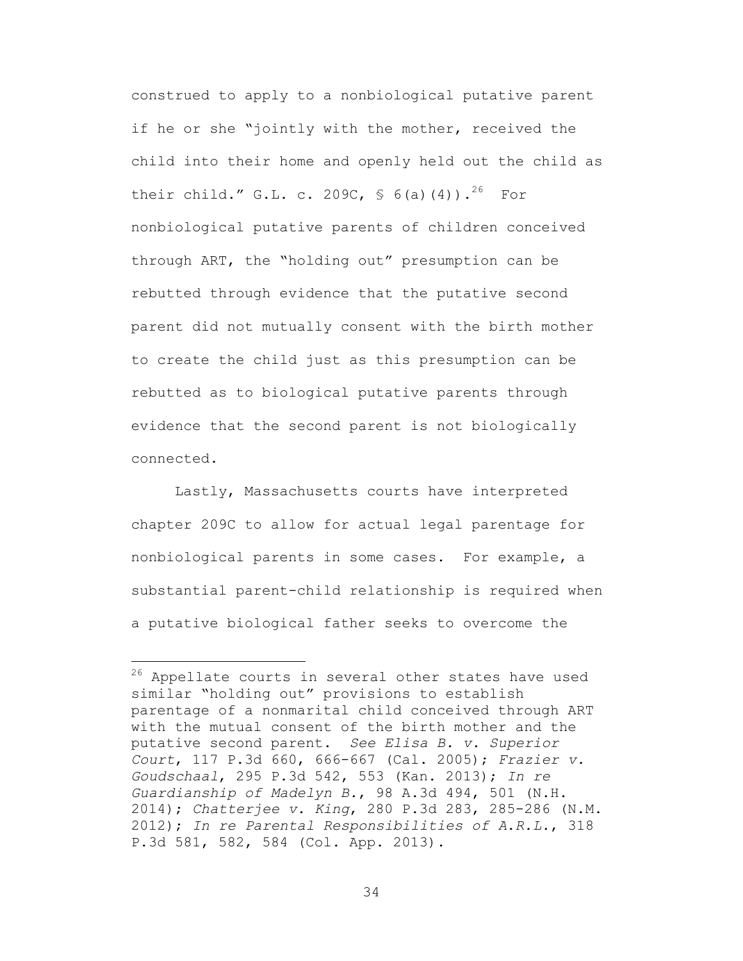construed to apply to a nonbiological putative parent if he or she "jointly with the mother, received the child into their home and openly held out the child as their child." G.L. c. 209C,  $\frac{1}{26}$  6(a)(4)).<sup>26</sup> For nonbiological putative parents of children conceived through ART, the "holding out" presumption can be rebutted through evidence that the putative second parent did not mutually consent with the birth mother to create the child just as this presumption can be rebutted as to biological putative parents through evidence that the second parent is not biologically connected.

Lastly, Massachusetts courts have interpreted chapter 209C to allow for actual legal parentage for nonbiological parents in some cases. For example, a substantial parent-child relationship is required when a putative biological father seeks to overcome the

i<br>L

<sup>26</sup> Appellate courts in several other states have used similar "holding out" provisions to establish parentage of a nonmarital child conceived through ART with the mutual consent of the birth mother and the putative second parent. *See Elisa B. v. Superior Court*, 117 P.3d 660, 666-667 (Cal. 2005); *Frazier v. Goudschaal*, 295 P.3d 542, 553 (Kan. 2013); *In re Guardianship of Madelyn B.*, 98 A.3d 494, 501 (N.H. 2014); *Chatterjee v. King*, 280 P.3d 283, 285-286 (N.M. 2012); *In re Parental Responsibilities of A.R.L.*, 318 P.3d 581, 582, 584 (Col. App. 2013).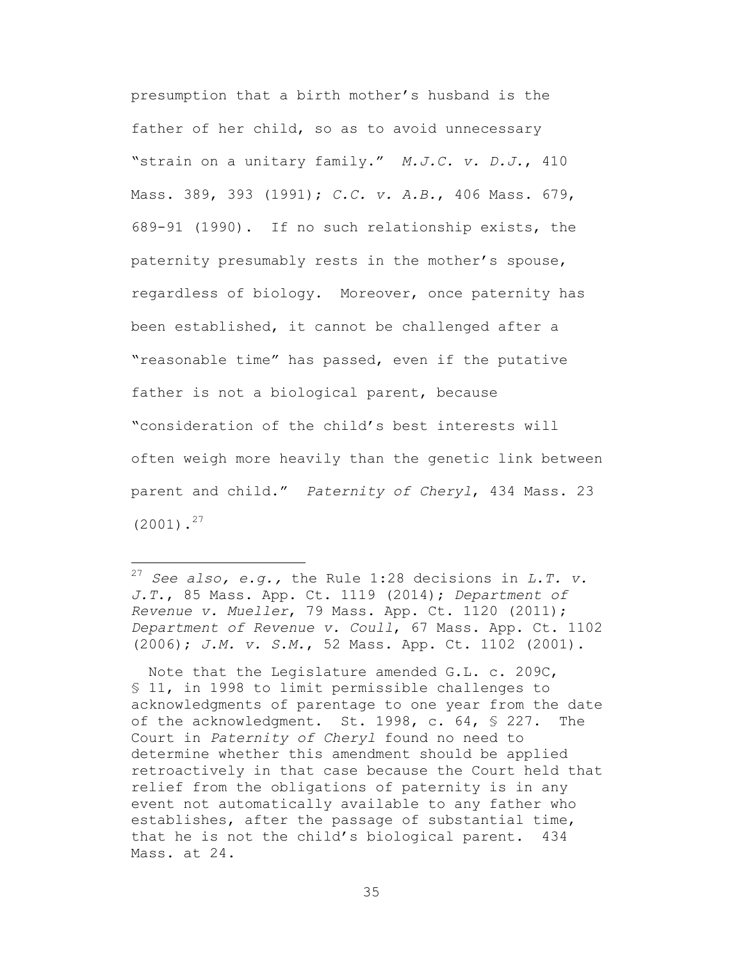presumption that a birth mother's husband is the father of her child, so as to avoid unnecessary "strain on a unitary family." *M.J.C. v. D.J.*, 410 Mass. 389, 393 (1991); *C.C. v. A.B.*, 406 Mass. 679, 689-91 (1990). If no such relationship exists, the paternity presumably rests in the mother's spouse, regardless of biology. Moreover, once paternity has been established, it cannot be challenged after a "reasonable time" has passed, even if the putative father is not a biological parent, because "consideration of the child's best interests will often weigh more heavily than the genetic link between parent and child." *Paternity of Cheryl*, 434 Mass. 23  $(2001)$ .<sup>27</sup>

L,

 Note that the Legislature amended G.L. c. 209C, § 11, in 1998 to limit permissible challenges to acknowledgments of parentage to one year from the date of the acknowledgment. St. 1998, c. 64, § 227. The Court in *Paternity of Cheryl* found no need to determine whether this amendment should be applied retroactively in that case because the Court held that relief from the obligations of paternity is in any event not automatically available to any father who establishes, after the passage of substantial time, that he is not the child's biological parent. 434 Mass. at 24.

<sup>27</sup> *See also, e.g.,* the Rule 1:28 decisions in *L.T. v. J.T*., 85 Mass. App. Ct. 1119 (2014); *Department of Revenue v. Mueller*, 79 Mass. App. Ct. 1120 (2011); *Department of Revenue v. Coull*, 67 Mass. App. Ct. 1102 (2006); *J.M. v. S.M.*, 52 Mass. App. Ct. 1102 (2001).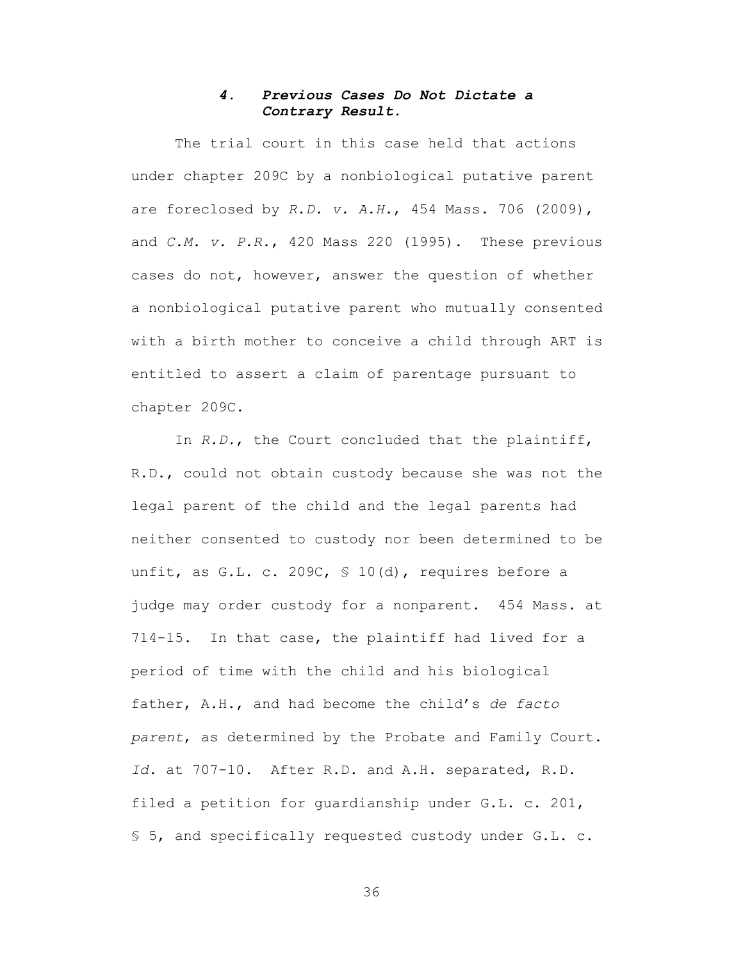# *4. Previous Cases Do Not Dictate a Contrary Result.*

<span id="page-42-0"></span>The trial court in this case held that actions under chapter 209C by a nonbiological putative parent are foreclosed by *R.D. v. A.H.*, 454 Mass. 706 (2009), and *C.M. v. P.R.*, 420 Mass 220 (1995). These previous cases do not, however, answer the question of whether a nonbiological putative parent who mutually consented with a birth mother to conceive a child through ART is entitled to assert a claim of parentage pursuant to chapter 209C.

In *R.D.*, the Court concluded that the plaintiff, R.D., could not obtain custody because she was not the legal parent of the child and the legal parents had neither consented to custody nor been determined to be unfit, as G.L. c. 209C, § 10(d), requires before a judge may order custody for a nonparent. 454 Mass. at 714-15. In that case, the plaintiff had lived for a period of time with the child and his biological father, A.H., and had become the child's *de facto parent*, as determined by the Probate and Family Court. *Id.* at 707-10. After R.D. and A.H. separated, R.D. filed a petition for guardianship under G.L. c. 201, § 5, and specifically requested custody under G.L. c.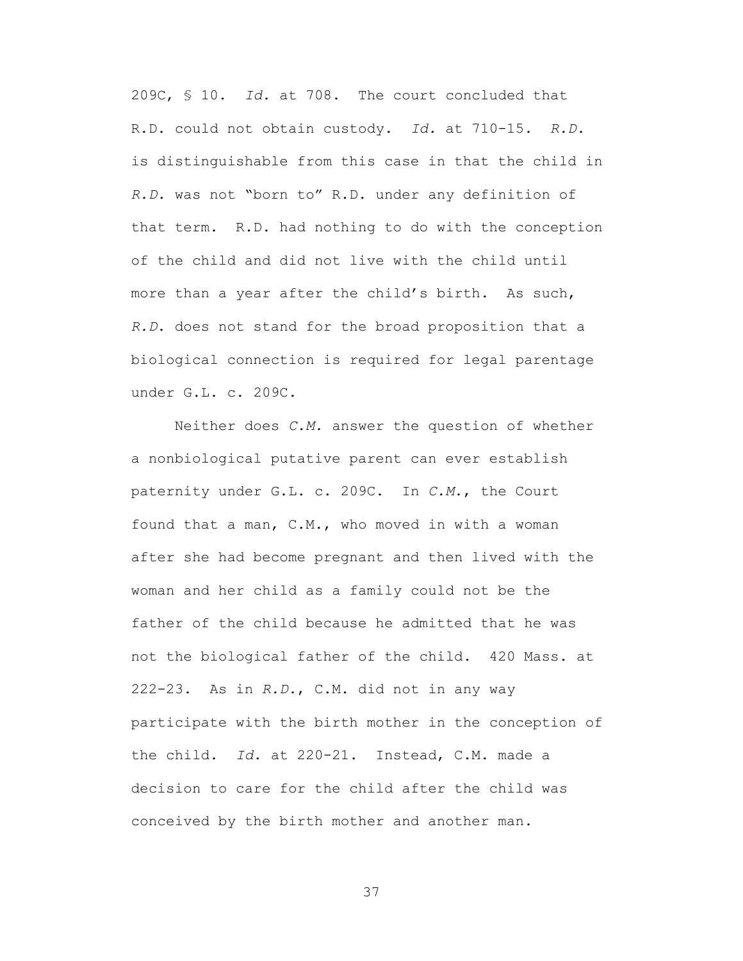209C, § 10. *Id.* at 708. The court concluded that R.D. could not obtain custody. *Id.* at 710-15. *R.D.* is distinguishable from this case in that the child in *R.D.* was not "born to" R.D. under any definition of that term. R.D. had nothing to do with the conception of the child and did not live with the child until more than a year after the child's birth. As such, *R.D*. does not stand for the broad proposition that a biological connection is required for legal parentage under G.L. c. 209C.

Neither does *C.M.* answer the question of whether a nonbiological putative parent can ever establish paternity under G.L. c. 209C. In *C.M.*, the Court found that a man, C.M., who moved in with a woman after she had become pregnant and then lived with the woman and her child as a family could not be the father of the child because he admitted that he was not the biological father of the child. 420 Mass. at 222-23. As in *R.D.*, C.M. did not in any way participate with the birth mother in the conception of the child. *Id*. at 220-21. Instead, C.M. made a decision to care for the child after the child was conceived by the birth mother and another man.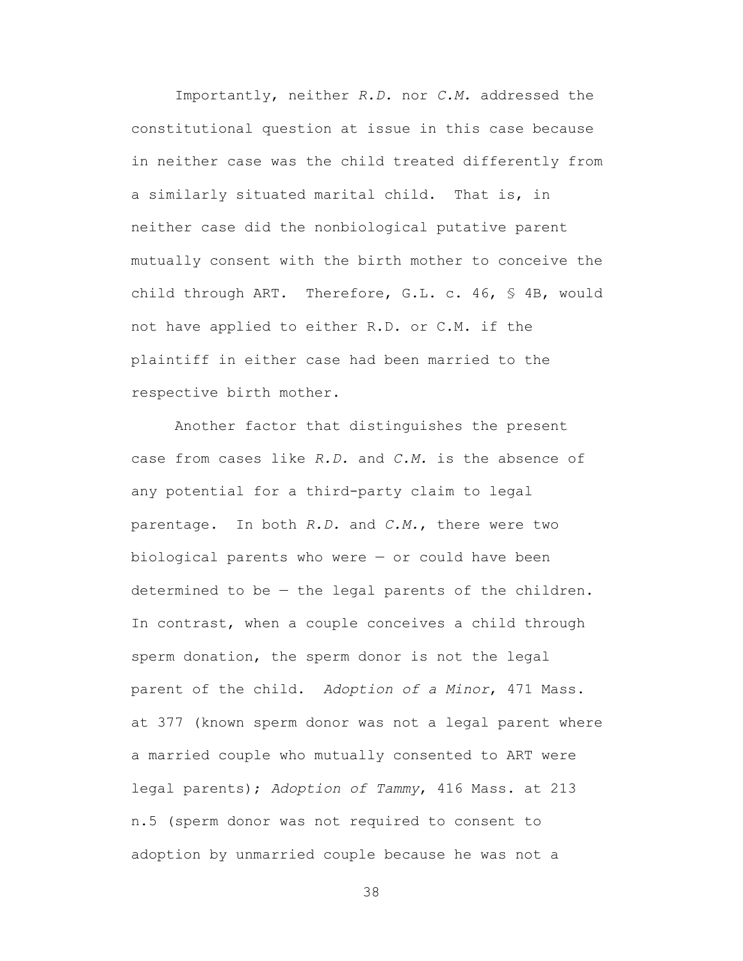Importantly, neither *R.D.* nor *C.M.* addressed the constitutional question at issue in this case because in neither case was the child treated differently from a similarly situated marital child. That is, in neither case did the nonbiological putative parent mutually consent with the birth mother to conceive the child through ART. Therefore, G.L. c. 46, § 4B, would not have applied to either R.D. or C.M. if the plaintiff in either case had been married to the respective birth mother.

Another factor that distinguishes the present case from cases like *R.D.* and *C.M.* is the absence of any potential for a third-party claim to legal parentage. In both *R.D.* and *C.M.*, there were two biological parents who were  $-$  or could have been determined to be — the legal parents of the children. In contrast, when a couple conceives a child through sperm donation, the sperm donor is not the legal parent of the child. *Adoption of a Minor*, 471 Mass. at 377 (known sperm donor was not a legal parent where a married couple who mutually consented to ART were legal parents); *Adoption of Tammy*, 416 Mass. at 213 n.5 (sperm donor was not required to consent to adoption by unmarried couple because he was not a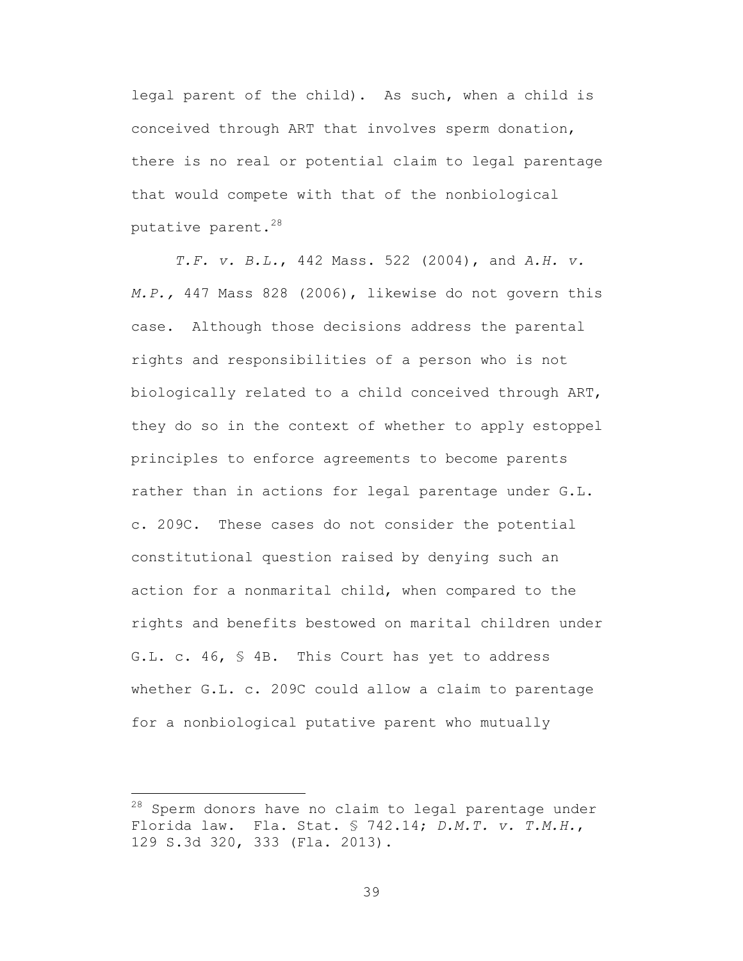legal parent of the child). As such, when a child is conceived through ART that involves sperm donation, there is no real or potential claim to legal parentage that would compete with that of the nonbiological putative parent. 28

*T.F. v. B.L.*, 442 Mass. 522 (2004), and *A.H. v. M.P.,* 447 Mass 828 (2006), likewise do not govern this case. Although those decisions address the parental rights and responsibilities of a person who is not biologically related to a child conceived through ART, they do so in the context of whether to apply estoppel principles to enforce agreements to become parents rather than in actions for legal parentage under G.L. c. 209C. These cases do not consider the potential constitutional question raised by denying such an action for a nonmarital child, when compared to the rights and benefits bestowed on marital children under G.L. c. 46, § 4B. This Court has yet to address whether G.L. c. 209C could allow a claim to parentage for a nonbiological putative parent who mutually

i<br>L

<sup>28</sup> Sperm donors have no claim to legal parentage under Florida law. Fla. Stat. § 742.14; *D.M.T. v. T.M.H.*, 129 S.3d 320, 333 (Fla. 2013).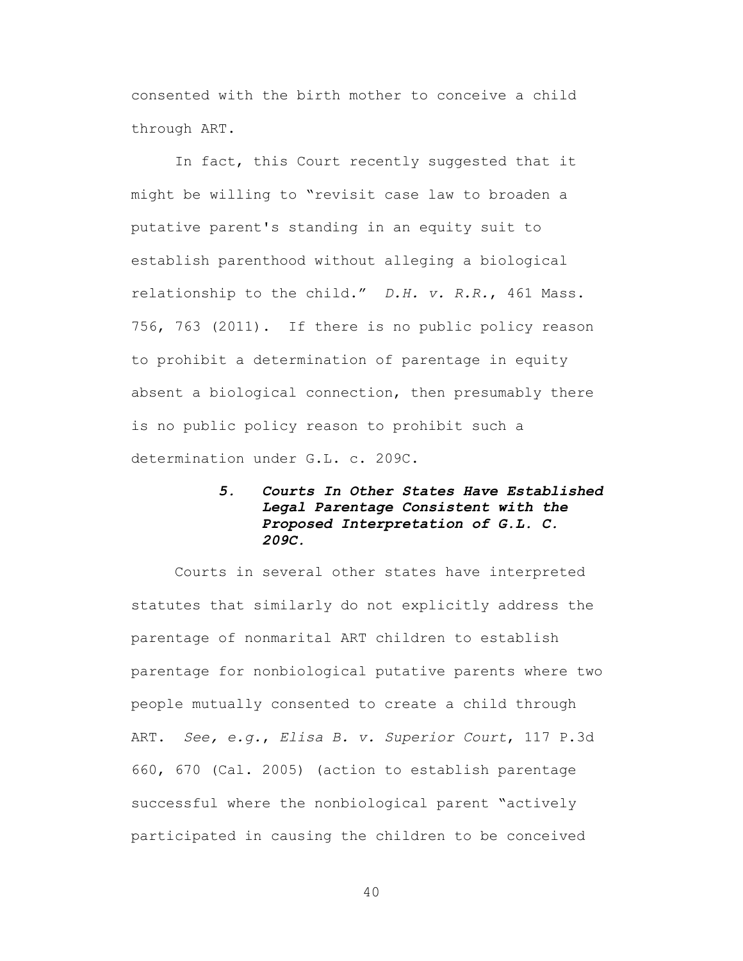consented with the birth mother to conceive a child through ART.

In fact, this Court recently suggested that it might be willing to "revisit case law to broaden a putative parent's standing in an equity suit to establish parenthood without alleging a biological relationship to the child." *D.H. v. R.R.*, 461 Mass. 756, 763 (2011). If there is no public policy reason to prohibit a determination of parentage in equity absent a biological connection, then presumably there is no public policy reason to prohibit such a determination under G.L. c. 209C.

> *5. Courts In Other States Have Established Legal Parentage Consistent with the Proposed Interpretation of G.L. C. 209C.*

<span id="page-46-0"></span>Courts in several other states have interpreted statutes that similarly do not explicitly address the parentage of nonmarital ART children to establish parentage for nonbiological putative parents where two people mutually consented to create a child through ART. *See, e.g.*, *Elisa B. v. Superior Court*, 117 P.3d 660, 670 (Cal. 2005) (action to establish parentage successful where the nonbiological parent "actively participated in causing the children to be conceived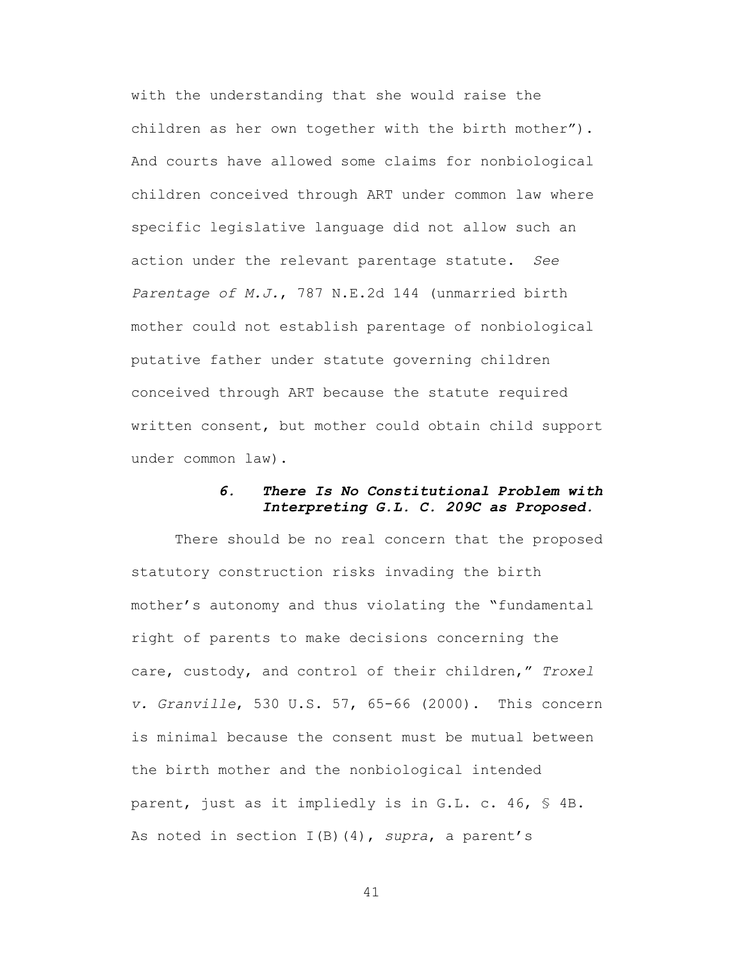with the understanding that she would raise the children as her own together with the birth mother"). And courts have allowed some claims for nonbiological children conceived through ART under common law where specific legislative language did not allow such an action under the relevant parentage statute. *See Parentage of M.J.*, 787 N.E.2d 144 (unmarried birth mother could not establish parentage of nonbiological putative father under statute governing children conceived through ART because the statute required written consent, but mother could obtain child support under common law).

#### *6. There Is No Constitutional Problem with Interpreting G.L. C. 209C as Proposed.*

<span id="page-47-0"></span>There should be no real concern that the proposed statutory construction risks invading the birth mother's autonomy and thus violating the "fundamental right of parents to make decisions concerning the care, custody, and control of their children," *Troxel v. Granville*, 530 U.S. 57, 65-66 (2000). This concern is minimal because the consent must be mutual between the birth mother and the nonbiological intended parent, just as it impliedly is in G.L. c. 46, § 4B. As noted in section I(B)(4), *supra*, a parent's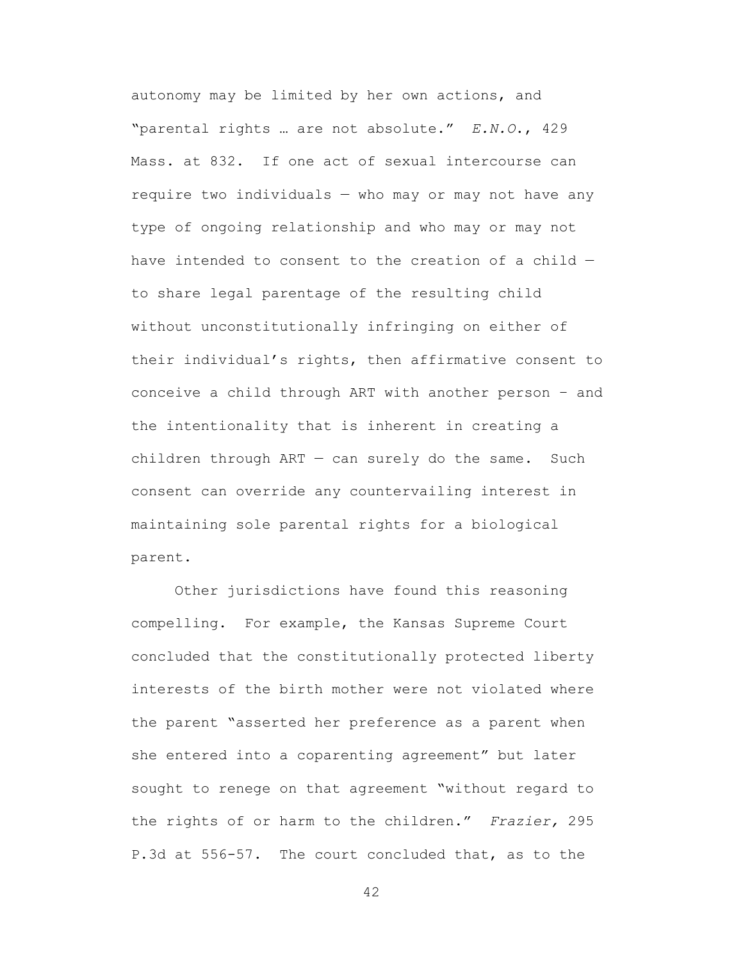autonomy may be limited by her own actions, and "parental rights … are not absolute." *E.N.O*., 429 Mass. at 832. If one act of sexual intercourse can require two individuals — who may or may not have any type of ongoing relationship and who may or may not have intended to consent to the creation of a child to share legal parentage of the resulting child without unconstitutionally infringing on either of their individual's rights, then affirmative consent to conceive a child through ART with another person – and the intentionality that is inherent in creating a children through  $ART - can surely do the same. Such$ consent can override any countervailing interest in maintaining sole parental rights for a biological parent.

Other jurisdictions have found this reasoning compelling. For example, the Kansas Supreme Court concluded that the constitutionally protected liberty interests of the birth mother were not violated where the parent "asserted her preference as a parent when she entered into a coparenting agreement" but later sought to renege on that agreement "without regard to the rights of or harm to the children." *Frazier,* 295 P.3d at 556-57. The court concluded that, as to the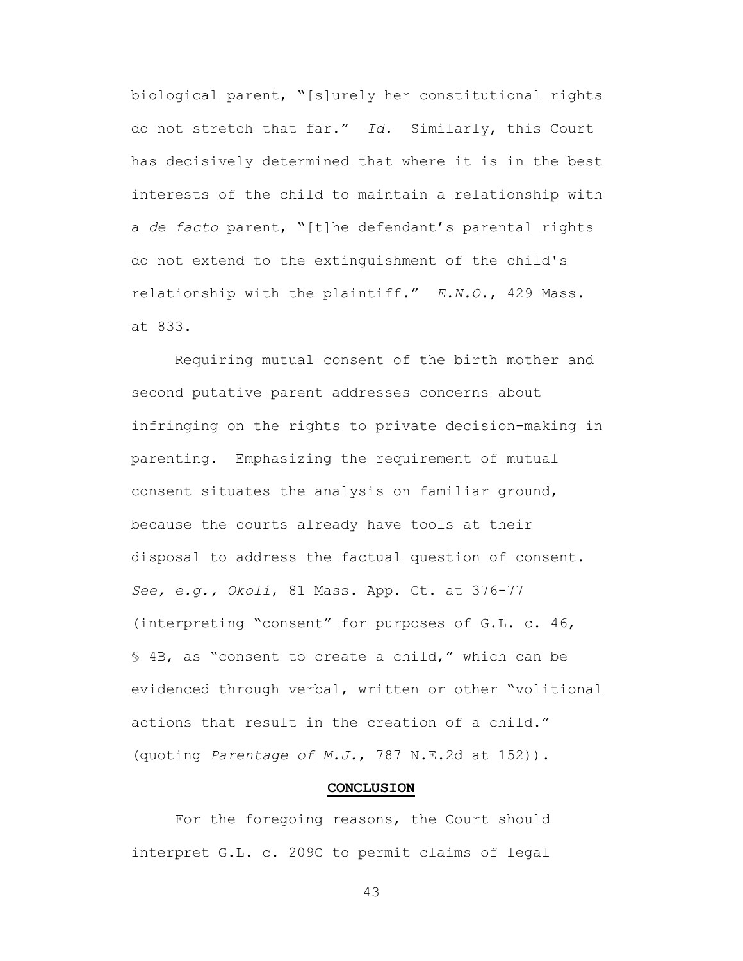biological parent, "[s]urely her constitutional rights do not stretch that far." *Id.* Similarly, this Court has decisively determined that where it is in the best interests of the child to maintain a relationship with a *de facto* parent, "[t]he defendant's parental rights do not extend to the extinguishment of the child's relationship with the plaintiff." *E.N.O*., 429 Mass. at 833.

Requiring mutual consent of the birth mother and second putative parent addresses concerns about infringing on the rights to private decision-making in parenting. Emphasizing the requirement of mutual consent situates the analysis on familiar ground, because the courts already have tools at their disposal to address the factual question of consent. *See, e.g., Okoli*, 81 Mass. App. Ct. at 376-77 (interpreting "consent" for purposes of G.L. c. 46, § 4B, as "consent to create a child," which can be evidenced through verbal, written or other "volitional actions that result in the creation of a child." (quoting *Parentage of M.J.*, 787 N.E.2d at 152)).

#### **CONCLUSION**

<span id="page-49-0"></span>For the foregoing reasons, the Court should interpret G.L. c. 209C to permit claims of legal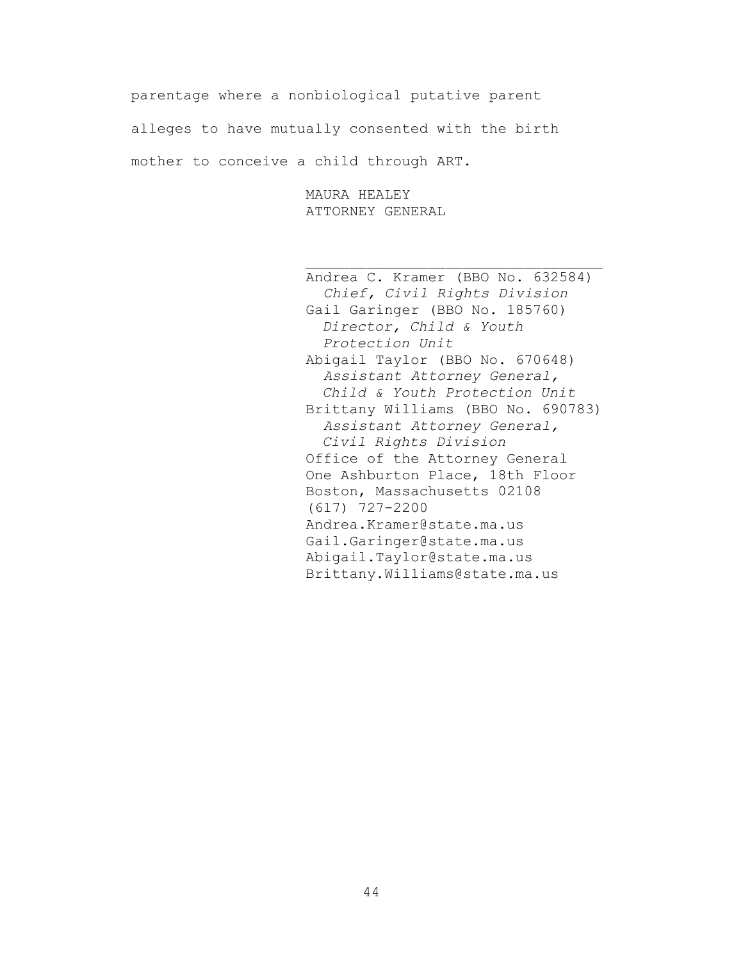parentage where a nonbiological putative parent alleges to have mutually consented with the birth mother to conceive a child through ART.

> MAURA HEALEY ATTORNEY GENERAL

Andrea C. Kramer (BBO No. 632584) *Chief, Civil Rights Division* Gail Garinger (BBO No. 185760) *Director, Child & Youth Protection Unit* Abigail Taylor (BBO No. 670648) *Assistant Attorney General, Child & Youth Protection Unit* Brittany Williams (BBO No. 690783) *Assistant Attorney General, Civil Rights Division* Office of the Attorney General One Ashburton Place, 18th Floor Boston, Massachusetts 02108 (617) 727-2200 Andrea.Kramer@state.ma.us Gail.Garinger@state.ma.us Abigail.Taylor@state.ma.us Brittany.Williams@state.ma.us